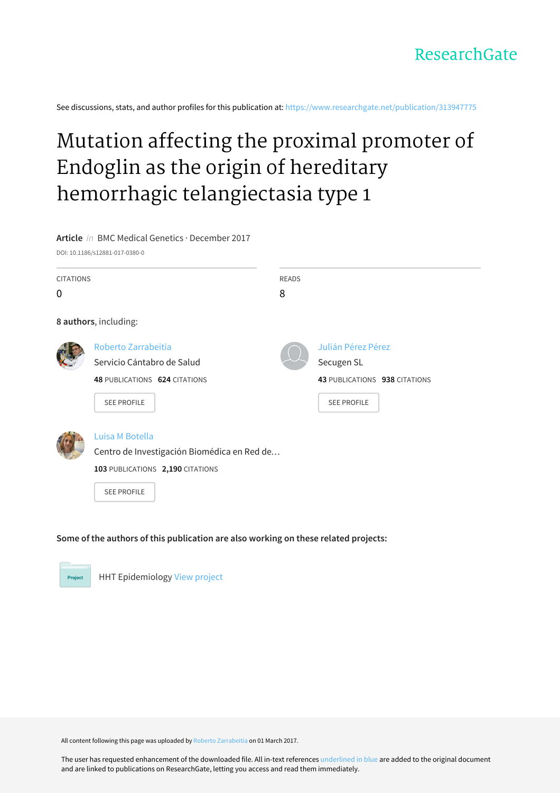See discussions, stats, and author profiles for this publication at: [https://www.researchgate.net/publication/313947775](https://www.researchgate.net/publication/313947775_Mutation_affecting_the_proximal_promoter_of_Endoglin_as_the_origin_of_hereditary_hemorrhagic_telangiectasia_type_1?enrichId=rgreq-4e5b9f2100fc1713a6c1d4c8c42eb1dc-XXX&enrichSource=Y292ZXJQYWdlOzMxMzk0Nzc3NTtBUzo0NjcwOTQwODYxMzE3MTlAMTQ4ODM3NTMxNjk0NA%3D%3D&el=1_x_2&_esc=publicationCoverPdf)

# Mutation affecting the proximal promoter of Endoglin as the origin of hereditary hemorrhagic [telangiectasia](https://www.researchgate.net/publication/313947775_Mutation_affecting_the_proximal_promoter_of_Endoglin_as_the_origin_of_hereditary_hemorrhagic_telangiectasia_type_1?enrichId=rgreq-4e5b9f2100fc1713a6c1d4c8c42eb1dc-XXX&enrichSource=Y292ZXJQYWdlOzMxMzk0Nzc3NTtBUzo0NjcwOTQwODYxMzE3MTlAMTQ4ODM3NTMxNjk0NA%3D%3D&el=1_x_3&_esc=publicationCoverPdf) type 1

# **Article** in BMC Medical Genetics · December 2017

DOI: 10.1186/s12881-017-0380-0

| <b>CITATIONS</b> |                                             | <b>READS</b> |                               |
|------------------|---------------------------------------------|--------------|-------------------------------|
| 0                |                                             | 8            |                               |
|                  | 8 authors, including:                       |              |                               |
|                  | Roberto Zarrabeitia                         |              | Julián Pérez Pérez            |
|                  | Servicio Cántabro de Salud                  |              | Secugen SL                    |
|                  | 48 PUBLICATIONS 624 CITATIONS               |              | 43 PUBLICATIONS 938 CITATIONS |
|                  | <b>SEE PROFILE</b>                          |              | <b>SEE PROFILE</b>            |
|                  | Luisa M Botella                             |              |                               |
|                  | Centro de Investigación Biomédica en Red de |              |                               |
|                  | 103 PUBLICATIONS 2,190 CITATIONS            |              |                               |
|                  | <b>SEE PROFILE</b>                          |              |                               |

# **Some of the authors of this publication are also working on these related projects:**



HHT Epidemiology View [project](https://www.researchgate.net/project/HHT-Epidemiology?enrichId=rgreq-4e5b9f2100fc1713a6c1d4c8c42eb1dc-XXX&enrichSource=Y292ZXJQYWdlOzMxMzk0Nzc3NTtBUzo0NjcwOTQwODYxMzE3MTlAMTQ4ODM3NTMxNjk0NA%3D%3D&el=1_x_9&_esc=publicationCoverPdf)

All content following this page was uploaded by Roberto [Zarrabeitia](https://www.researchgate.net/profile/Roberto_Zarrabeitia?enrichId=rgreq-4e5b9f2100fc1713a6c1d4c8c42eb1dc-XXX&enrichSource=Y292ZXJQYWdlOzMxMzk0Nzc3NTtBUzo0NjcwOTQwODYxMzE3MTlAMTQ4ODM3NTMxNjk0NA%3D%3D&el=1_x_10&_esc=publicationCoverPdf) on 01 March 2017.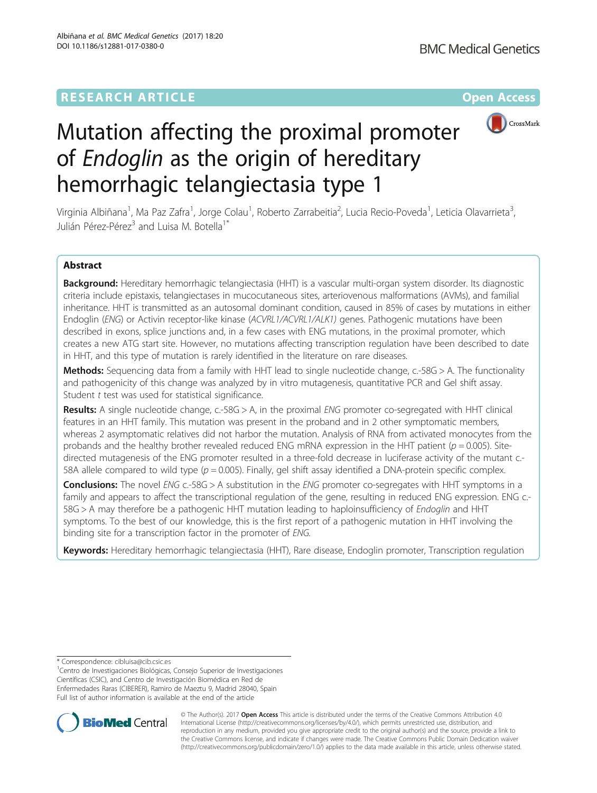# **RESEARCH ARTICLE External Structure Community Community Community Community Community Community Community Community**



# Mutation affecting the proximal promoter of Endoglin as the origin of hereditary hemorrhagic telangiectasia type 1

Virginia Albiñana<sup>1</sup>, Ma Paz Zafra<sup>1</sup>, Jorge Colau<sup>1</sup>, Roberto Zarrabeitia<sup>2</sup>, Lucia Recio-Poveda<sup>1</sup>, Leticia Olavarrieta<sup>3</sup> , Julián Pérez-Pérez<sup>3</sup> and Luisa M. Botella<sup>1\*</sup>

# Abstract

Background: Hereditary hemorrhagic telangiectasia (HHT) is a vascular multi-organ system disorder. Its diagnostic criteria include epistaxis, telangiectases in mucocutaneous sites, arteriovenous malformations (AVMs), and familial inheritance. HHT is transmitted as an autosomal dominant condition, caused in 85% of cases by mutations in either Endoglin (ENG) or Activin receptor-like kinase (ACVRL1/ACVRL1/ALK1) genes. Pathogenic mutations have been described in exons, splice junctions and, in a few cases with ENG mutations, in the proximal promoter, which creates a new ATG start site. However, no mutations affecting transcription regulation have been described to date in HHT, and this type of mutation is rarely identified in the literature on rare diseases.

Methods: Sequencing data from a family with HHT lead to single nucleotide change, c.-58G > A. The functionality and pathogenicity of this change was analyzed by in vitro mutagenesis, quantitative PCR and Gel shift assay. Student t test was used for statistical significance.

Results: A single nucleotide change, c.-58G > A, in the proximal ENG promoter co-segregated with HHT clinical features in an HHT family. This mutation was present in the proband and in 2 other symptomatic members, whereas 2 asymptomatic relatives did not harbor the mutation. Analysis of RNA from activated monocytes from the probands and the healthy brother revealed reduced ENG mRNA expression in the HHT patient ( $p = 0.005$ ). Sitedirected mutagenesis of the ENG promoter resulted in a three-fold decrease in luciferase activity of the mutant c.- 58A allele compared to wild type ( $p = 0.005$ ). Finally, gel shift assay identified a DNA-protein specific complex.

**Conclusions:** The novel ENG c.-58G > A substitution in the ENG promoter co-segregates with HHT symptoms in a family and appears to affect the transcriptional regulation of the gene, resulting in reduced ENG expression. ENG c.-58G > A may therefore be a pathogenic HHT mutation leading to haploinsufficiency of Endoglin and HHT symptoms. To the best of our knowledge, this is the first report of a pathogenic mutation in HHT involving the binding site for a transcription factor in the promoter of ENG.

Keywords: Hereditary hemorrhagic telangiectasia (HHT), Rare disease, Endoglin promoter, Transcription regulation

\* Correspondence: [cibluisa@cib.csic.es](mailto:cibluisa@cib.csic.es) <sup>1</sup>

<sup>1</sup> Centro de Investigaciones Biológicas, Consejo Superior de Investigaciones Científicas (CSIC), and Centro de Investigación Biomédica en Red de Enfermedades Raras (CIBERER), Ramiro de Maeztu 9, Madrid 28040, Spain Full list of author information is available at the end of the article



© The Author(s). 2017 **Open Access** This article is distributed under the terms of the Creative Commons Attribution 4.0 International License [\(http://creativecommons.org/licenses/by/4.0/](http://creativecommons.org/licenses/by/4.0/)), which permits unrestricted use, distribution, and reproduction in any medium, provided you give appropriate credit to the original author(s) and the source, provide a link to the Creative Commons license, and indicate if changes were made. The Creative Commons Public Domain Dedication waiver [\(http://creativecommons.org/publicdomain/zero/1.0/](http://creativecommons.org/publicdomain/zero/1.0/)) applies to the data made available in this article, unless otherwise stated.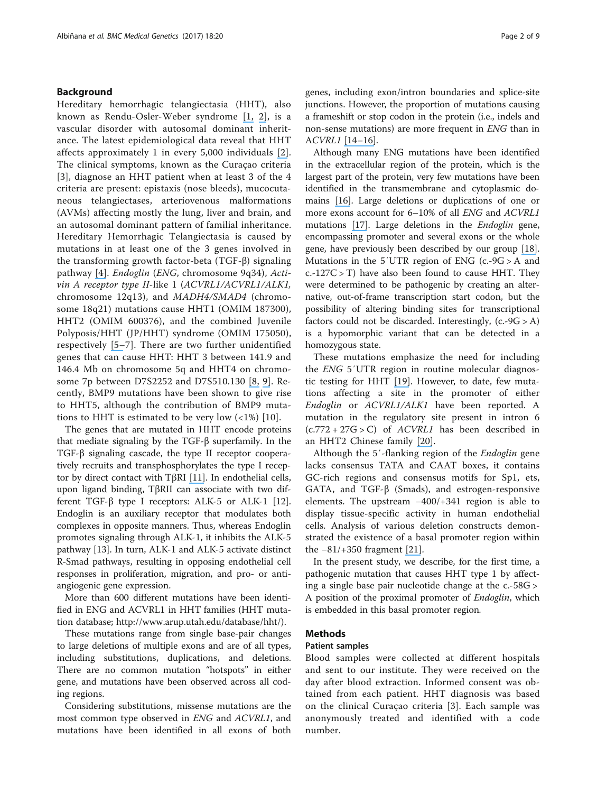# Background

Hereditary hemorrhagic telangiectasia (HHT), also known as Rendu-Osler-Weber syndrome [\[](https://www.researchgate.net/publication/280389800_How_to_manage_patients_with_hereditary_haemorrhagic_telangiectasia?el=1_x_8&enrichId=rgreq-4e5b9f2100fc1713a6c1d4c8c42eb1dc-XXX&enrichSource=Y292ZXJQYWdlOzMxMzk0Nzc3NTtBUzo0NjcwOTQwODYxMzE3MTlAMTQ4ODM3NTMxNjk0NA==)[1](#page-8-0)[,](https://www.researchgate.net/publication/280389800_How_to_manage_patients_with_hereditary_haemorrhagic_telangiectasia?el=1_x_8&enrichId=rgreq-4e5b9f2100fc1713a6c1d4c8c42eb1dc-XXX&enrichSource=Y292ZXJQYWdlOzMxMzk0Nzc3NTtBUzo0NjcwOTQwODYxMzE3MTlAMTQ4ODM3NTMxNjk0NA==) [2](#page-8-0)[\]](https://www.researchgate.net/publication/46426834_Hereditary_haemorrhagic_telangiectasia_Pathophysiology_diagnosis_and_treatment?el=1_x_8&enrichId=rgreq-4e5b9f2100fc1713a6c1d4c8c42eb1dc-XXX&enrichSource=Y292ZXJQYWdlOzMxMzk0Nzc3NTtBUzo0NjcwOTQwODYxMzE3MTlAMTQ4ODM3NTMxNjk0NA==), is a vascular disorder with autosomal dominant inheritance. The latest epidemiological data reveal that HHT affects approximately 1 in every 5,000 individuals [\[](https://www.researchgate.net/publication/46426834_Hereditary_haemorrhagic_telangiectasia_Pathophysiology_diagnosis_and_treatment?el=1_x_8&enrichId=rgreq-4e5b9f2100fc1713a6c1d4c8c42eb1dc-XXX&enrichSource=Y292ZXJQYWdlOzMxMzk0Nzc3NTtBUzo0NjcwOTQwODYxMzE3MTlAMTQ4ODM3NTMxNjk0NA==)[2](#page-8-0)[\]](https://www.researchgate.net/publication/46426834_Hereditary_haemorrhagic_telangiectasia_Pathophysiology_diagnosis_and_treatment?el=1_x_8&enrichId=rgreq-4e5b9f2100fc1713a6c1d4c8c42eb1dc-XXX&enrichSource=Y292ZXJQYWdlOzMxMzk0Nzc3NTtBUzo0NjcwOTQwODYxMzE3MTlAMTQ4ODM3NTMxNjk0NA==). The clinical symptoms, known as the Curaçao criteria [[3](#page-8-0)], diagnose an HHT patient when at least 3 of the 4 criteria are present: epistaxis (nose bleeds), mucocutaneous telangiectases, arteriovenous malformations (AVMs) affecting mostly the lung, liver and brain, and an autosomal dominant pattern of familial inheritance. Hereditary Hemorrhagic Telangiectasia is caused by mutations in at least one of the 3 genes involved in the transforming growth factor-beta (TGF-β) signaling pathway [\[](https://www.researchgate.net/publication/7183665_Hereditary_Hemorrhagic_Telangiectasia_a_Vascular_Dysplasia_Affecting_the_TGF-_Signaling_Pathway?el=1_x_8&enrichId=rgreq-4e5b9f2100fc1713a6c1d4c8c42eb1dc-XXX&enrichSource=Y292ZXJQYWdlOzMxMzk0Nzc3NTtBUzo0NjcwOTQwODYxMzE3MTlAMTQ4ODM3NTMxNjk0NA==)[4](#page-8-0)[\]](https://www.researchgate.net/publication/7183665_Hereditary_Hemorrhagic_Telangiectasia_a_Vascular_Dysplasia_Affecting_the_TGF-_Signaling_Pathway?el=1_x_8&enrichId=rgreq-4e5b9f2100fc1713a6c1d4c8c42eb1dc-XXX&enrichSource=Y292ZXJQYWdlOzMxMzk0Nzc3NTtBUzo0NjcwOTQwODYxMzE3MTlAMTQ4ODM3NTMxNjk0NA==). Endoglin (ENG, chromosome 9q34), Activin A receptor type II-like 1 (ACVRL1/ACVRL1/ALK1, chromosome 12q13), and MADH4/SMAD4 (chromosome 18q21) mutations cause HHT1 (OMIM 187300), HHT2 (OMIM 600376), and the combined Juvenile Polyposis/HHT (JP/HHT) syndrome (OMIM 175050), respectively [\[](https://www.researchgate.net/publication/260198915_Endoglin_a_TGF-b_binding_protein_of_endothelial_cells_is_the_gene_for_hereditary_haemorrhagic_telangiectasia_type_1?el=1_x_8&enrichId=rgreq-4e5b9f2100fc1713a6c1d4c8c42eb1dc-XXX&enrichSource=Y292ZXJQYWdlOzMxMzk0Nzc3NTtBUzo0NjcwOTQwODYxMzE3MTlAMTQ4ODM3NTMxNjk0NA==)[5](#page-8-0)[–](https://www.researchgate.net/publication/14485458_A_second_locus_for_hereditary_hemorrhagic_telangiectasia_maps_to_chromosome_12?el=1_x_8&enrichId=rgreq-4e5b9f2100fc1713a6c1d4c8c42eb1dc-XXX&enrichSource=Y292ZXJQYWdlOzMxMzk0Nzc3NTtBUzo0NjcwOTQwODYxMzE3MTlAMTQ4ODM3NTMxNjk0NA==)[7](#page-8-0)]. There are two further unidentified genes that can cause HHT: HHT 3 between 141.9 and 146.4 Mb on chromosome 5q and HHT4 on chromosome 7p between D7S2252 and D7S510.130 [\[](https://www.researchgate.net/publication/7749095_A_new_locus_for_hereditary_haemorrhagic_telangiectasia_HHT3_maps_to_chromosome_5?el=1_x_8&enrichId=rgreq-4e5b9f2100fc1713a6c1d4c8c42eb1dc-XXX&enrichSource=Y292ZXJQYWdlOzMxMzk0Nzc3NTtBUzo0NjcwOTQwODYxMzE3MTlAMTQ4ODM3NTMxNjk0NA==)[8](#page-8-0)[,](https://www.researchgate.net/publication/7749095_A_new_locus_for_hereditary_haemorrhagic_telangiectasia_HHT3_maps_to_chromosome_5?el=1_x_8&enrichId=rgreq-4e5b9f2100fc1713a6c1d4c8c42eb1dc-XXX&enrichSource=Y292ZXJQYWdlOzMxMzk0Nzc3NTtBUzo0NjcwOTQwODYxMzE3MTlAMTQ4ODM3NTMxNjk0NA==) [9](#page-8-0)[\]](https://www.researchgate.net/publication/6820861_Rapid_publication_A_fourth_locus_for_hereditary_hemorrhagic_telangiectasia_maps_to_chromosome_7?el=1_x_8&enrichId=rgreq-4e5b9f2100fc1713a6c1d4c8c42eb1dc-XXX&enrichSource=Y292ZXJQYWdlOzMxMzk0Nzc3NTtBUzo0NjcwOTQwODYxMzE3MTlAMTQ4ODM3NTMxNjk0NA==). Recently, BMP9 mutations have been shown to give rise to HHT5, although the contribution of BMP9 mutations to HHT is estimated to be very low  $\left( \langle 1\% \rangle \right)$  [[10](#page-8-0)].

The genes that are mutated in HHT encode proteins that mediate signaling by the TGF-β superfamily. In the TGF-β signaling cascade, the type II receptor cooperatively recruits and transphosphorylates the type I receptor by direct contact with TβRI [\[](https://www.researchgate.net/publication/11437018_Balancing_the_activation_state_of_the_endothelium_via_two_distinct_TGF-b_type_I_receptors?el=1_x_8&enrichId=rgreq-4e5b9f2100fc1713a6c1d4c8c42eb1dc-XXX&enrichSource=Y292ZXJQYWdlOzMxMzk0Nzc3NTtBUzo0NjcwOTQwODYxMzE3MTlAMTQ4ODM3NTMxNjk0NA==)[11](#page-8-0)[\]](https://www.researchgate.net/publication/11437018_Balancing_the_activation_state_of_the_endothelium_via_two_distinct_TGF-b_type_I_receptors?el=1_x_8&enrichId=rgreq-4e5b9f2100fc1713a6c1d4c8c42eb1dc-XXX&enrichSource=Y292ZXJQYWdlOzMxMzk0Nzc3NTtBUzo0NjcwOTQwODYxMzE3MTlAMTQ4ODM3NTMxNjk0NA==). In endothelial cells, upon ligand binding, TβRII can associate with two different TGF-β type I receptors: ALK-5 or ALK-1 [\[12](#page-8-0)]. Endoglin is an auxiliary receptor that modulates both complexes in opposite manners. Thus, whereas Endoglin promotes signaling through ALK-1, it inhibits the ALK-5 pathway [\[13](#page-8-0)]. In turn, ALK-1 and ALK-5 activate distinct R-Smad pathways, resulting in opposing endothelial cell responses in proliferation, migration, and pro- or antiangiogenic gene expression.

More than 600 different mutations have been identified in ENG and ACVRL1 in HHT families (HHT mutation database;<http://www.arup.utah.edu/database/hht/>).

These mutations range from single base-pair changes to large deletions of multiple exons and are of all types, including substitutions, duplications, and deletions. There are no common mutation "hotspots" in either gene, and mutations have been observed across all coding regions.

Considering substitutions, missense mutations are the most common type observed in ENG and ACVRL1, and mutations have been identified in all exons of both genes, including exon/intron boundaries and splice-site junctions. However, the proportion of mutations causing a frameshift or stop codon in the protein (i.e., indels and non-sense mutations) are more frequent in ENG than in ACVRL1 [\[1](https://www.researchgate.net/publication/5565869_Hereditary_hemorrhagic_telangiectasia_Evidence_for_regional_founder_effects_of_ACVRL1_mutations_in_French_and_Italian_patients?el=1_x_8&enrichId=rgreq-4e5b9f2100fc1713a6c1d4c8c42eb1dc-XXX&enrichSource=Y292ZXJQYWdlOzMxMzk0Nzc3NTtBUzo0NjcwOTQwODYxMzE3MTlAMTQ4ODM3NTMxNjk0NA==)[4](#page-8-0)[–](https://www.researchgate.net/publication/272188675_Hereditary_hemorrhagic_telangiectasia_Genetics_and_molecular_diagnostics_in_a_new_era?el=1_x_8&enrichId=rgreq-4e5b9f2100fc1713a6c1d4c8c42eb1dc-XXX&enrichSource=Y292ZXJQYWdlOzMxMzk0Nzc3NTtBUzo0NjcwOTQwODYxMzE3MTlAMTQ4ODM3NTMxNjk0NA==)[1](#page-8-0)[6\]](https://www.researchgate.net/publication/7860606_Hereditary_haemorrhagic_telangiectasia_Current_views_on_genetics_and_mechanisms_of_disease?el=1_x_8&enrichId=rgreq-4e5b9f2100fc1713a6c1d4c8c42eb1dc-XXX&enrichSource=Y292ZXJQYWdlOzMxMzk0Nzc3NTtBUzo0NjcwOTQwODYxMzE3MTlAMTQ4ODM3NTMxNjk0NA==).

Although many ENG mutations have been identified in the extracellular region of the protein, which is the largest part of the protein, very few mutations have been identified in the transmembrane and cytoplasmic domains [\[](https://www.researchgate.net/publication/7860606_Hereditary_haemorrhagic_telangiectasia_Current_views_on_genetics_and_mechanisms_of_disease?el=1_x_8&enrichId=rgreq-4e5b9f2100fc1713a6c1d4c8c42eb1dc-XXX&enrichSource=Y292ZXJQYWdlOzMxMzk0Nzc3NTtBUzo0NjcwOTQwODYxMzE3MTlAMTQ4ODM3NTMxNjk0NA==)[16](#page-8-0)[\]](https://www.researchgate.net/publication/7860606_Hereditary_haemorrhagic_telangiectasia_Current_views_on_genetics_and_mechanisms_of_disease?el=1_x_8&enrichId=rgreq-4e5b9f2100fc1713a6c1d4c8c42eb1dc-XXX&enrichSource=Y292ZXJQYWdlOzMxMzk0Nzc3NTtBUzo0NjcwOTQwODYxMzE3MTlAMTQ4ODM3NTMxNjk0NA==). Large deletions or duplications of one or more exons account for 6–10% of all ENG and ACVRL1 mutations [\[](https://www.researchgate.net/publication/49683964_Molecular_diagnosis_in_hereditary_hemorrhagic_telangiectasia_findings_in_a_series_tested_simultaneously_by_sequencing_and_deletionduplication_analysis?el=1_x_8&enrichId=rgreq-4e5b9f2100fc1713a6c1d4c8c42eb1dc-XXX&enrichSource=Y292ZXJQYWdlOzMxMzk0Nzc3NTtBUzo0NjcwOTQwODYxMzE3MTlAMTQ4ODM3NTMxNjk0NA==)[1](#page-8-0)[7\]](https://www.researchgate.net/publication/49683964_Molecular_diagnosis_in_hereditary_hemorrhagic_telangiectasia_findings_in_a_series_tested_simultaneously_by_sequencing_and_deletionduplication_analysis?el=1_x_8&enrichId=rgreq-4e5b9f2100fc1713a6c1d4c8c42eb1dc-XXX&enrichSource=Y292ZXJQYWdlOzMxMzk0Nzc3NTtBUzo0NjcwOTQwODYxMzE3MTlAMTQ4ODM3NTMxNjk0NA==). Large deletions in the Endoglin gene, encompassing promoter and several exons or the whole gene, have previously been described by our group [\[](https://www.researchgate.net/publication/258851914_Copy_number_variations_in_endoglin_locus_mapping_of_large_deletions_in_Spanish_families_with_hereditary_hemorrhagic_telangiectasia_type_1?el=1_x_8&enrichId=rgreq-4e5b9f2100fc1713a6c1d4c8c42eb1dc-XXX&enrichSource=Y292ZXJQYWdlOzMxMzk0Nzc3NTtBUzo0NjcwOTQwODYxMzE3MTlAMTQ4ODM3NTMxNjk0NA==)[1](#page-8-0)[8\]](https://www.researchgate.net/publication/258851914_Copy_number_variations_in_endoglin_locus_mapping_of_large_deletions_in_Spanish_families_with_hereditary_hemorrhagic_telangiectasia_type_1?el=1_x_8&enrichId=rgreq-4e5b9f2100fc1713a6c1d4c8c42eb1dc-XXX&enrichSource=Y292ZXJQYWdlOzMxMzk0Nzc3NTtBUzo0NjcwOTQwODYxMzE3MTlAMTQ4ODM3NTMxNjk0NA==). Mutations in the  $5'UTR$  region of ENG (c.-9G > A and  $c.-127C > T$ ) have also been found to cause HHT. They were determined to be pathogenic by creating an alternative, out-of-frame transcription start codon, but the possibility of altering binding sites for transcriptional factors could not be discarded. Interestingly,  $(c.-9G > A)$ is a hypomorphic variant that can be detected in a homozygous state.

These mutations emphasize the need for including the ENG 5′UTR region in routine molecular diagnostic testing for HHT [\[](https://www.researchgate.net/publication/51918962_5)[19](#page-8-0)[\]](https://www.researchgate.net/publication/51918962_5). However, to date, few mutations affecting a site in the promoter of either Endoglin or ACVRL1/ALK1 have been reported. A mutation in the regulatory site present in intron 6  $(c.772 + 27G > C)$  of *ACVRL1* has been described in an HHT2 Chinese family [\[](https://www.researchgate.net/publication/235788123_An_Intron_Mutation_in_the_ACVRL1_May_Be_Associated_with_a_Transcriptional_Regulation_Defect_in_a_Chinese_Family_with_Hereditary_Hemorrhagic_Telangiectasia?el=1_x_8&enrichId=rgreq-4e5b9f2100fc1713a6c1d4c8c42eb1dc-XXX&enrichSource=Y292ZXJQYWdlOzMxMzk0Nzc3NTtBUzo0NjcwOTQwODYxMzE3MTlAMTQ4ODM3NTMxNjk0NA==)[20](#page-8-0)[\]](https://www.researchgate.net/publication/235788123_An_Intron_Mutation_in_the_ACVRL1_May_Be_Associated_with_a_Transcriptional_Regulation_Defect_in_a_Chinese_Family_with_Hereditary_Hemorrhagic_Telangiectasia?el=1_x_8&enrichId=rgreq-4e5b9f2100fc1713a6c1d4c8c42eb1dc-XXX&enrichSource=Y292ZXJQYWdlOzMxMzk0Nzc3NTtBUzo0NjcwOTQwODYxMzE3MTlAMTQ4ODM3NTMxNjk0NA==).

Although the 5'-flanking region of the *Endoglin* gene lacks consensus TATA and CAAT boxes, it contains GC-rich regions and consensus motifs for Sp1, ets, GATA, and TGF-β (Smads), and estrogen-responsive elements. The upstream −400/+341 region is able to display tissue-specific activity in human endothelial cells. Analysis of various deletion constructs demonstrated the existence of a basal promoter region within the −81/+350 fragment [\[](https://www.researchgate.net/publication/13441290_Cloning_of_the_promoter_region_of_human_endoglin_the_target_gene_for_hereditary_hemorrhagic_telangiectasia_type_1?el=1_x_8&enrichId=rgreq-4e5b9f2100fc1713a6c1d4c8c42eb1dc-XXX&enrichSource=Y292ZXJQYWdlOzMxMzk0Nzc3NTtBUzo0NjcwOTQwODYxMzE3MTlAMTQ4ODM3NTMxNjk0NA==)[21](#page-9-0)[\]](https://www.researchgate.net/publication/13441290_Cloning_of_the_promoter_region_of_human_endoglin_the_target_gene_for_hereditary_hemorrhagic_telangiectasia_type_1?el=1_x_8&enrichId=rgreq-4e5b9f2100fc1713a6c1d4c8c42eb1dc-XXX&enrichSource=Y292ZXJQYWdlOzMxMzk0Nzc3NTtBUzo0NjcwOTQwODYxMzE3MTlAMTQ4ODM3NTMxNjk0NA==).

In the present study, we describe, for the first time, a pathogenic mutation that causes HHT type 1 by affecting a single base pair nucleotide change at the c.-58G > A position of the proximal promoter of Endoglin, which is embedded in this basal promoter region.

# Methods

## Patient samples

Blood samples were collected at different hospitals and sent to our institute. They were received on the day after blood extraction. Informed consent was obtained from each patient. HHT diagnosis was based on the clinical Curaçao criteria [[3\]](#page-8-0). Each sample was anonymously treated and identified with a code number.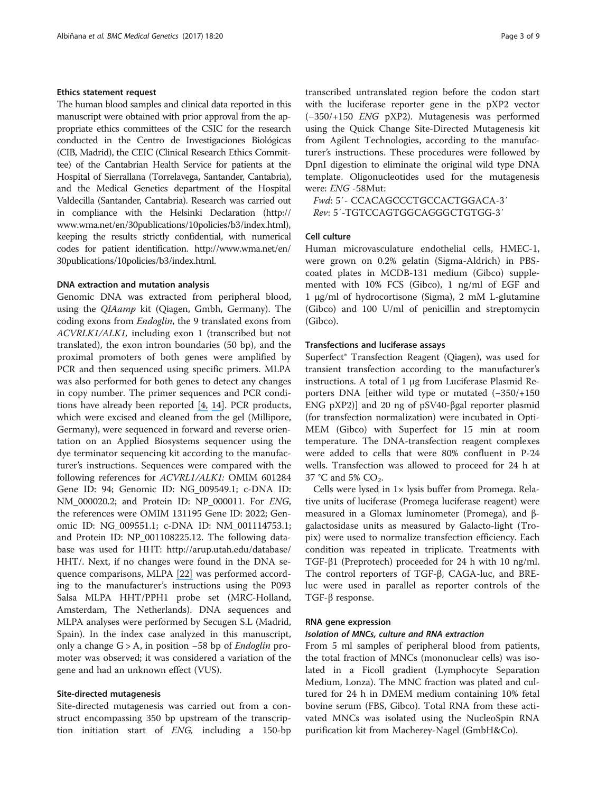#### Ethics statement request

The human blood samples and clinical data reported in this manuscript were obtained with prior approval from the appropriate ethics committees of the CSIC for the research conducted in the Centro de Investigaciones Biológicas (CIB, Madrid), the CEIC (Clinical Research Ethics Committee) of the Cantabrian Health Service for patients at the Hospital of Sierrallana (Torrelavega, Santander, Cantabria), and the Medical Genetics department of the Hospital Valdecilla (Santander, Cantabria). Research was carried out in compliance with the Helsinki Declaration [\(http://](http://www.wma.net/en/30publications/10policies/b3/index.html) [www.wma.net/en/30publications/10policies/b3/index.html](http://www.wma.net/en/30publications/10policies/b3/index.html)), keeping the results strictly confidential, with numerical codes for patient identification. [http://www.wma.net/en/](http://www.wma.net/en/30publications/10policies/b3/index.html) [30publications/10policies/b3/index.html.](http://www.wma.net/en/30publications/10policies/b3/index.html)

#### DNA extraction and mutation analysis

Genomic DNA was extracted from peripheral blood, using the QIAamp kit (Qiagen, Gmbh, Germany). The coding exons from *Endoglin*, the 9 translated exons from ACVRLK1/ALK1, including exon 1 (transcribed but not translated), the exon intron boundaries (50 bp), and the proximal promoters of both genes were amplified by PCR and then sequenced using specific primers. MLPA was also performed for both genes to detect any changes in copy number. The primer sequences and PCR conditions have already been reported [\[](https://www.researchgate.net/publication/7183665_Hereditary_Hemorrhagic_Telangiectasia_a_Vascular_Dysplasia_Affecting_the_TGF-_Signaling_Pathway?el=1_x_8&enrichId=rgreq-4e5b9f2100fc1713a6c1d4c8c42eb1dc-XXX&enrichSource=Y292ZXJQYWdlOzMxMzk0Nzc3NTtBUzo0NjcwOTQwODYxMzE3MTlAMTQ4ODM3NTMxNjk0NA==)[4](#page-8-0)[,](https://www.researchgate.net/publication/7183665_Hereditary_Hemorrhagic_Telangiectasia_a_Vascular_Dysplasia_Affecting_the_TGF-_Signaling_Pathway?el=1_x_8&enrichId=rgreq-4e5b9f2100fc1713a6c1d4c8c42eb1dc-XXX&enrichSource=Y292ZXJQYWdlOzMxMzk0Nzc3NTtBUzo0NjcwOTQwODYxMzE3MTlAMTQ4ODM3NTMxNjk0NA==) [14](#page-8-0)[\]](https://www.researchgate.net/publication/5565869_Hereditary_hemorrhagic_telangiectasia_Evidence_for_regional_founder_effects_of_ACVRL1_mutations_in_French_and_Italian_patients?el=1_x_8&enrichId=rgreq-4e5b9f2100fc1713a6c1d4c8c42eb1dc-XXX&enrichSource=Y292ZXJQYWdlOzMxMzk0Nzc3NTtBUzo0NjcwOTQwODYxMzE3MTlAMTQ4ODM3NTMxNjk0NA==). PCR products, which were excised and cleaned from the gel (Millipore, Germany), were sequenced in forward and reverse orientation on an Applied Biosystems sequencer using the dye terminator sequencing kit according to the manufacturer's instructions. Sequences were compared with the following references for ACVRL1/ALK1: OMIM 601284 Gene ID: 94; Genomic ID: NG\_009549.1; c-DNA ID: NM\_000020.2; and Protein ID: NP\_000011. For ENG, the references were OMIM 131195 Gene ID: 2022; Genomic ID: NG\_009551.1; c-DNA ID: NM\_001114753.1; and Protein ID: NP\_001108225.12. The following database was used for HHT: [http://arup.utah.edu/database/](http://arup.utah.edu/database/HHT/) [HHT/.](http://arup.utah.edu/database/HHT/) Next, if no changes were found in the DNA sequence comparisons, MLPA [\[](https://www.researchgate.net/publication/247384065_Relative_quanti_cation_of_40_nucleic_acid_sequences_by_multiplex_ligation-dependent_probe_ampli_cati?el=1_x_8&enrichId=rgreq-4e5b9f2100fc1713a6c1d4c8c42eb1dc-XXX&enrichSource=Y292ZXJQYWdlOzMxMzk0Nzc3NTtBUzo0NjcwOTQwODYxMzE3MTlAMTQ4ODM3NTMxNjk0NA==)[2](#page-9-0)[2\]](https://www.researchgate.net/publication/247384065_Relative_quanti_cation_of_40_nucleic_acid_sequences_by_multiplex_ligation-dependent_probe_ampli_cati?el=1_x_8&enrichId=rgreq-4e5b9f2100fc1713a6c1d4c8c42eb1dc-XXX&enrichSource=Y292ZXJQYWdlOzMxMzk0Nzc3NTtBUzo0NjcwOTQwODYxMzE3MTlAMTQ4ODM3NTMxNjk0NA==) was performed according to the manufacturer's instructions using the P093 Salsa MLPA HHT/PPH1 probe set (MRC-Holland, Amsterdam, The Netherlands). DNA sequences and MLPA analyses were performed by Secugen S.L (Madrid, Spain). In the index case analyzed in this manuscript, only a change  $G > A$ , in position −58 bp of *Endoglin* promoter was observed; it was considered a variation of the gene and had an unknown effect (VUS).

## Site-directed mutagenesis

Site-directed mutagenesis was carried out from a construct encompassing 350 bp upstream of the transcription initiation start of ENG, including a 150-bp transcribed untranslated region before the codon start with the luciferase reporter gene in the pXP2 vector (−350/+150 ENG pXP2). Mutagenesis was performed using the Quick Change Site-Directed Mutagenesis kit from Agilent Technologies, according to the manufacturer's instructions. These procedures were followed by DpnI digestion to eliminate the original wild type DNA template. Oligonucleotides used for the mutagenesis were: ENG -58Mut:

Fwd: 5′- CCACAGCCCTGCCACTGGACA-3′ Rev: 5′-TGTCCAGTGGCAGGGCTGTGG-3′

## Cell culture

Human microvasculature endothelial cells, HMEC-1, were grown on 0.2% gelatin (Sigma-Aldrich) in PBScoated plates in MCDB-131 medium (Gibco) supplemented with 10% FCS (Gibco), 1 ng/ml of EGF and 1 μg/ml of hydrocortisone (Sigma), 2 mM L-glutamine (Gibco) and 100 U/ml of penicillin and streptomycin (Gibco).

#### Transfections and luciferase assays

Superfect® Transfection Reagent (Qiagen), was used for transient transfection according to the manufacturer's instructions. A total of 1 μg from Luciferase Plasmid Reporters DNA [either wild type or mutated (−350/+150 ENG pXP2)] and 20 ng of pSV40-βgal reporter plasmid (for transfection normalization) were incubated in Opti-MEM (Gibco) with Superfect for 15 min at room temperature. The DNA-transfection reagent complexes were added to cells that were 80% confluent in P-24 wells. Transfection was allowed to proceed for 24 h at 37 °C and 5%  $CO<sub>2</sub>$ .

Cells were lysed in 1× lysis buffer from Promega. Relative units of luciferase (Promega luciferase reagent) were measured in a Glomax luminometer (Promega), and βgalactosidase units as measured by Galacto-light (Tropix) were used to normalize transfection efficiency. Each condition was repeated in triplicate. Treatments with TGF-β1 (Preprotech) proceeded for 24 h with 10 ng/ml. The control reporters of TGF-β, CAGA-luc, and BREluc were used in parallel as reporter controls of the TGF-β response.

#### RNA gene expression

#### Isolation of MNCs, culture and RNA extraction

From 5 ml samples of peripheral blood from patients, the total fraction of MNCs (mononuclear cells) was isolated in a Ficoll gradient (Lymphocyte Separation Medium, Lonza). The MNC fraction was plated and cultured for 24 h in DMEM medium containing 10% fetal bovine serum (FBS, Gibco). Total RNA from these activated MNCs was isolated using the NucleoSpin RNA purification kit from Macherey-Nagel (GmbH&Co).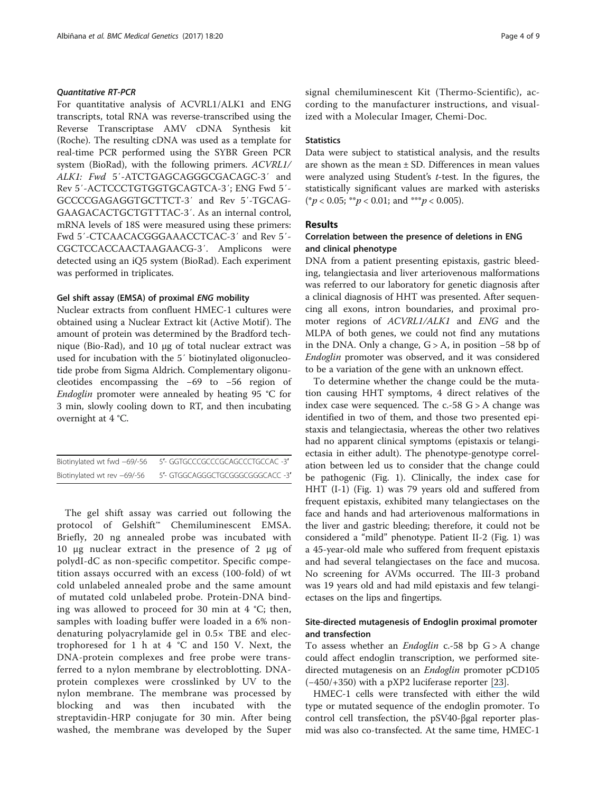# Quantitative RT-PCR

For quantitative analysis of ACVRL1/ALK1 and ENG transcripts, total RNA was reverse-transcribed using the Reverse Transcriptase AMV cDNA Synthesis kit (Roche). The resulting cDNA was used as a template for real-time PCR performed using the SYBR Green PCR system (BioRad), with the following primers. ACVRL1/ ALK1: Fwd 5'-ATCTGAGCAGGGCGACAGC-3' and Rev 5′-ACTCCCTGTGGTGCAGTCA-3′; ENG Fwd 5′- GCCCCGAGAGGTGCTTCT-3′ and Rev 5′-TGCAG-GAAGACACTGCTGTTTAC-3′. As an internal control, mRNA levels of 18S were measured using these primers: Fwd 5′-CTCAACACGGGAAACCTCAC-3′ and Rev 5′- CGCTCCACCAACTAAGAACG-3′. Amplicons were detected using an iQ5 system (BioRad). Each experiment was performed in triplicates.

#### Gel shift assay (EMSA) of proximal ENG mobility

Nuclear extracts from confluent HMEC-1 cultures were obtained using a Nuclear Extract kit (Active Motif). The amount of protein was determined by the Bradford technique (Bio-Rad), and 10 μg of total nuclear extract was used for incubation with the 5′ biotinylated oligonucleotide probe from Sigma Aldrich. Complementary oligonucleotides encompassing the −69 to −56 region of Endoglin promoter were annealed by heating 95 °C for 3 min, slowly cooling down to RT, and then incubating overnight at 4 °C.

| Biotinylated wt fwd -69/-56 | 5'- GGTGCCCGCCCGCAGCCCTGCCAC -3' |
|-----------------------------|----------------------------------|
| Biotinylated wt rev -69/-56 | 5'- GTGGCAGGGCTGCGGGCGGGCACC -3' |

The gel shift assay was carried out following the protocol of Gelshift™ Chemiluminescent EMSA. Briefly, 20 ng annealed probe was incubated with 10 μg nuclear extract in the presence of 2 μg of polydI-dC as non-specific competitor. Specific competition assays occurred with an excess (100-fold) of wt cold unlabeled annealed probe and the same amount of mutated cold unlabeled probe. Protein-DNA binding was allowed to proceed for 30 min at 4 °C; then, samples with loading buffer were loaded in a 6% nondenaturing polyacrylamide gel in 0.5× TBE and electrophoresed for 1 h at 4 °C and 150 V. Next, the DNA-protein complexes and free probe were transferred to a nylon membrane by electroblotting. DNAprotein complexes were crosslinked by UV to the nylon membrane. The membrane was processed by blocking and was then incubated with the streptavidin-HRP conjugate for 30 min. After being washed, the membrane was developed by the Super

signal chemiluminescent Kit (Thermo-Scientific), according to the manufacturer instructions, and visualized with a Molecular Imager, Chemi-Doc.

# **Statistics**

Data were subject to statistical analysis, and the results are shown as the mean ± SD. Differences in mean values were analyzed using Student's t-test. In the figures, the statistically significant values are marked with asterisks  $(*p < 0.05; **p < 0.01;$  and \*\*\*p < 0.005).

# Results

# Correlation between the presence of deletions in ENG and clinical phenotype

DNA from a patient presenting epistaxis, gastric bleeding, telangiectasia and liver arteriovenous malformations was referred to our laboratory for genetic diagnosis after a clinical diagnosis of HHT was presented. After sequencing all exons, intron boundaries, and proximal promoter regions of ACVRL1/ALK1 and ENG and the MLPA of both genes, we could not find any mutations in the DNA. Only a change,  $G > A$ , in position  $-58$  bp of Endoglin promoter was observed, and it was considered to be a variation of the gene with an unknown effect.

To determine whether the change could be the mutation causing HHT symptoms, 4 direct relatives of the index case were sequenced. The  $c.-58$  G  $> A$  change was identified in two of them, and those two presented epistaxis and telangiectasia, whereas the other two relatives had no apparent clinical symptoms (epistaxis or telangiectasia in either adult). The phenotype-genotype correlation between led us to consider that the change could be pathogenic (Fig. [1](#page-5-0)). Clinically, the index case for HHT (I-1) (Fig. [1\)](#page-5-0) was 79 years old and suffered from frequent epistaxis, exhibited many telangiectases on the face and hands and had arteriovenous malformations in the liver and gastric bleeding; therefore, it could not be considered a "mild" phenotype. Patient II-2 (Fig. [1](#page-5-0)) was a 45-year-old male who suffered from frequent epistaxis and had several telangiectases on the face and mucosa. No screening for AVMs occurred. The III-3 proband was 19 years old and had mild epistaxis and few telangiectases on the lips and fingertips.

# Site-directed mutagenesis of Endoglin proximal promoter and transfection

To assess whether an *Endoglin* c.-58 bp  $G > A$  change could affect endoglin transcription, we performed sitedirected mutagenesis on an *Endoglin* promoter pCD105 (−450/+350) with a pXP2 luciferase reporter [\[2](https://www.researchgate.net/publication/11907785_Identification_of_a_Critical_Sp1_Site_within_the_Endoglin_Promoter_and_Its_Involvement_in_the_Transforming_Growth_Factor-_Stimulation?el=1_x_8&enrichId=rgreq-4e5b9f2100fc1713a6c1d4c8c42eb1dc-XXX&enrichSource=Y292ZXJQYWdlOzMxMzk0Nzc3NTtBUzo0NjcwOTQwODYxMzE3MTlAMTQ4ODM3NTMxNjk0NA==)[3](#page-9-0)[\]](https://www.researchgate.net/publication/11907785_Identification_of_a_Critical_Sp1_Site_within_the_Endoglin_Promoter_and_Its_Involvement_in_the_Transforming_Growth_Factor-_Stimulation?el=1_x_8&enrichId=rgreq-4e5b9f2100fc1713a6c1d4c8c42eb1dc-XXX&enrichSource=Y292ZXJQYWdlOzMxMzk0Nzc3NTtBUzo0NjcwOTQwODYxMzE3MTlAMTQ4ODM3NTMxNjk0NA==).

HMEC-1 cells were transfected with either the wild type or mutated sequence of the endoglin promoter. To control cell transfection, the pSV40-βgal reporter plasmid was also co-transfected. At the same time, HMEC-1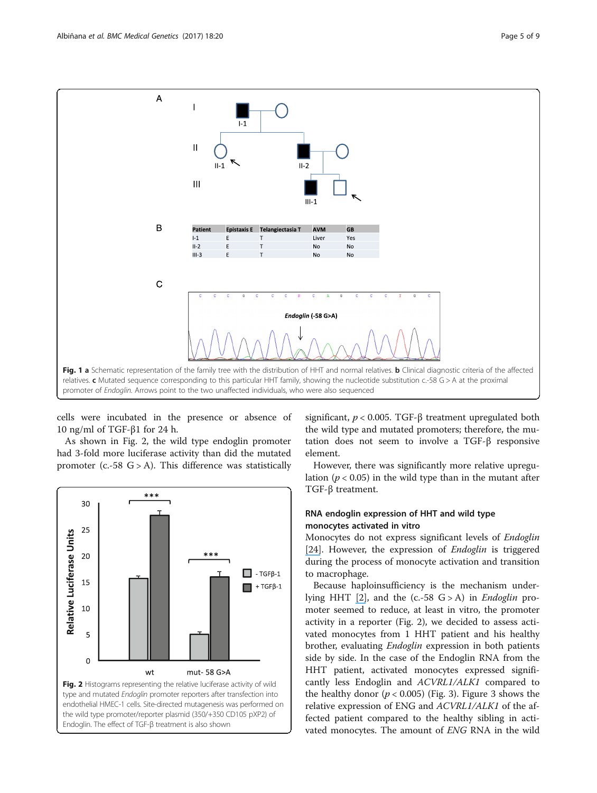<span id="page-5-0"></span>

cells were incubated in the presence or absence of 10 ng/ml of TGF-β1 for 24 h.

As shown in Fig. 2, the wild type endoglin promoter had 3-fold more luciferase activity than did the mutated promoter (c.-58  $G > A$ ). This difference was statistically



significant,  $p < 0.005$ . TGF- $\beta$  treatment upregulated both the wild type and mutated promoters; therefore, the mutation does not seem to involve a TGF-β responsive element.

However, there was significantly more relative upregulation ( $p < 0.05$ ) in the wild type than in the mutant after TGF-β treatment.

# RNA endoglin expression of HHT and wild type monocytes activated in vitro

Monocytes do not express significant levels of Endoglin [\[](https://www.researchgate.net/publication/8339509_Mutation_Analysis_in_Spanish_Patients_with_Hereditary_Hemorrhagic_Telangiectasia_Deficient_Endoglin_Up-regulation_in_Activated_Monocytes?el=1_x_8&enrichId=rgreq-4e5b9f2100fc1713a6c1d4c8c42eb1dc-XXX&enrichSource=Y292ZXJQYWdlOzMxMzk0Nzc3NTtBUzo0NjcwOTQwODYxMzE3MTlAMTQ4ODM3NTMxNjk0NA==)[24](#page-9-0)[\]](https://www.researchgate.net/publication/8339509_Mutation_Analysis_in_Spanish_Patients_with_Hereditary_Hemorrhagic_Telangiectasia_Deficient_Endoglin_Up-regulation_in_Activated_Monocytes?el=1_x_8&enrichId=rgreq-4e5b9f2100fc1713a6c1d4c8c42eb1dc-XXX&enrichSource=Y292ZXJQYWdlOzMxMzk0Nzc3NTtBUzo0NjcwOTQwODYxMzE3MTlAMTQ4ODM3NTMxNjk0NA==). However, the expression of *Endoglin* is triggered during the process of monocyte activation and transition to macrophage.

Because haploinsufficiency is the mechanism under-lying HHT [\[](https://www.researchgate.net/publication/46426834_Hereditary_haemorrhagic_telangiectasia_Pathophysiology_diagnosis_and_treatment?el=1_x_8&enrichId=rgreq-4e5b9f2100fc1713a6c1d4c8c42eb1dc-XXX&enrichSource=Y292ZXJQYWdlOzMxMzk0Nzc3NTtBUzo0NjcwOTQwODYxMzE3MTlAMTQ4ODM3NTMxNjk0NA==)[2](#page-8-0)[\]](https://www.researchgate.net/publication/46426834_Hereditary_haemorrhagic_telangiectasia_Pathophysiology_diagnosis_and_treatment?el=1_x_8&enrichId=rgreq-4e5b9f2100fc1713a6c1d4c8c42eb1dc-XXX&enrichSource=Y292ZXJQYWdlOzMxMzk0Nzc3NTtBUzo0NjcwOTQwODYxMzE3MTlAMTQ4ODM3NTMxNjk0NA==), and the  $(c.-58 G > A)$  in *Endoglin* promoter seemed to reduce, at least in vitro, the promoter activity in a reporter (Fig. 2), we decided to assess activated monocytes from 1 HHT patient and his healthy brother, evaluating *Endoglin* expression in both patients side by side. In the case of the Endoglin RNA from the HHT patient, activated monocytes expressed significantly less Endoglin and ACVRL1/ALK1 compared to the healthy donor ( $p < 0.005$ ) (Fig. [3\)](#page-6-0). Figure [3](#page-6-0) shows the relative expression of ENG and ACVRL1/ALK1 of the affected patient compared to the healthy sibling in activated monocytes. The amount of ENG RNA in the wild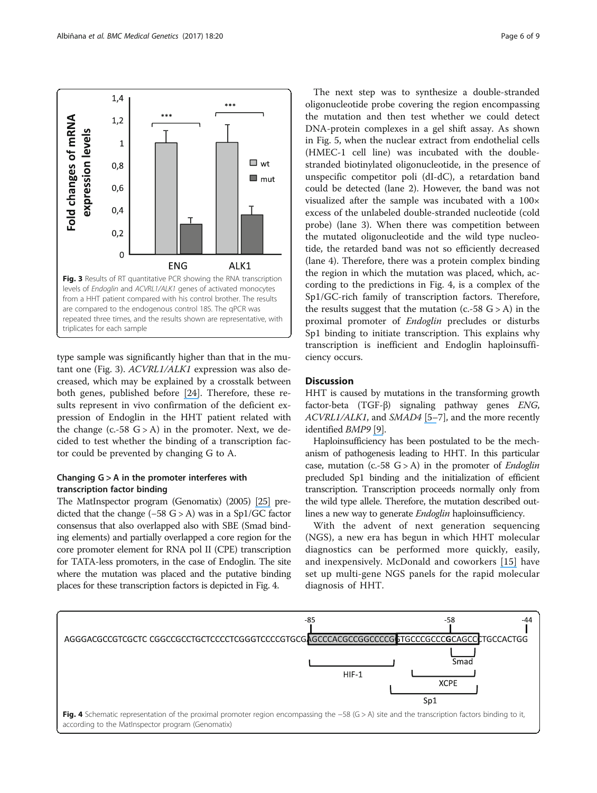<span id="page-6-0"></span>

type sample was significantly higher than that in the mutant one (Fig. 3). ACVRL1/ALK1 expression was also decreased, which may be explained by a crosstalk between both genes, published before [\[2](https://www.researchgate.net/publication/8339509_Mutation_Analysis_in_Spanish_Patients_with_Hereditary_Hemorrhagic_Telangiectasia_Deficient_Endoglin_Up-regulation_in_Activated_Monocytes?el=1_x_8&enrichId=rgreq-4e5b9f2100fc1713a6c1d4c8c42eb1dc-XXX&enrichSource=Y292ZXJQYWdlOzMxMzk0Nzc3NTtBUzo0NjcwOTQwODYxMzE3MTlAMTQ4ODM3NTMxNjk0NA==)[4](#page-9-0)[\]](https://www.researchgate.net/publication/8339509_Mutation_Analysis_in_Spanish_Patients_with_Hereditary_Hemorrhagic_Telangiectasia_Deficient_Endoglin_Up-regulation_in_Activated_Monocytes?el=1_x_8&enrichId=rgreq-4e5b9f2100fc1713a6c1d4c8c42eb1dc-XXX&enrichSource=Y292ZXJQYWdlOzMxMzk0Nzc3NTtBUzo0NjcwOTQwODYxMzE3MTlAMTQ4ODM3NTMxNjk0NA==). Therefore, these results represent in vivo confirmation of the deficient expression of Endoglin in the HHT patient related with the change  $(c.-58 G > A)$  in the promoter. Next, we decided to test whether the binding of a transcription factor could be prevented by changing G to A.

# Changing G > A in the promoter interferes with transcription factor binding

The MatInspector program (Genomatix) (2005) [\[25\]](https://www.researchgate.net/publication/7876823_MatInspector_and_beyond_Promoter_analysis_based_on_transcription_factor_binding_sites?el=1_x_8&enrichId=rgreq-4e5b9f2100fc1713a6c1d4c8c42eb1dc-XXX&enrichSource=Y292ZXJQYWdlOzMxMzk0Nzc3NTtBUzo0NjcwOTQwODYxMzE3MTlAMTQ4ODM3NTMxNjk0NA==) predicted that the change (−58 G > A) was in a Sp1/GC factor consensus that also overlapped also with SBE (Smad binding elements) and partially overlapped a core region for the core promoter element for RNA pol II (CPE) transcription for TATA-less promoters, in the case of Endoglin. The site where the mutation was placed and the putative binding places for these transcription factors is depicted in Fig. 4.

The next step was to synthesize a double-stranded oligonucleotide probe covering the region encompassing the mutation and then test whether we could detect DNA-protein complexes in a gel shift assay. As shown in Fig. [5,](#page-7-0) when the nuclear extract from endothelial cells (HMEC-1 cell line) was incubated with the doublestranded biotinylated oligonucleotide, in the presence of unspecific competitor poli (dI-dC), a retardation band could be detected (lane 2). However, the band was not visualized after the sample was incubated with a 100× excess of the unlabeled double-stranded nucleotide (cold probe) (lane 3). When there was competition between the mutated oligonucleotide and the wild type nucleotide, the retarded band was not so efficiently decreased (lane 4). Therefore, there was a protein complex binding the region in which the mutation was placed, which, according to the predictions in Fig. 4, is a complex of the Sp1/GC-rich family of transcription factors. Therefore, the results suggest that the mutation  $(c.-58 \text{ G} > A)$  in the proximal promoter of Endoglin precludes or disturbs Sp1 binding to initiate transcription. This explains why transcription is inefficient and Endoglin haploinsufficiency occurs.

# **Discussion**

HHT is caused by mutations in the transforming growth factor-beta (TGF-β) signaling pathway genes ENG, ACVRL1/ALK1, and SMAD4 [\[5](https://www.researchgate.net/publication/260198915_Endoglin_a_TGF-b_binding_protein_of_endothelial_cells_is_the_gene_for_hereditary_haemorrhagic_telangiectasia_type_1?el=1_x_8&enrichId=rgreq-4e5b9f2100fc1713a6c1d4c8c42eb1dc-XXX&enrichSource=Y292ZXJQYWdlOzMxMzk0Nzc3NTtBUzo0NjcwOTQwODYxMzE3MTlAMTQ4ODM3NTMxNjk0NA==)-[7](#page-8-0)], and the more recently identified BMP9 [\[9\]](https://www.researchgate.net/publication/6820861_Rapid_publication_A_fourth_locus_for_hereditary_hemorrhagic_telangiectasia_maps_to_chromosome_7?el=1_x_8&enrichId=rgreq-4e5b9f2100fc1713a6c1d4c8c42eb1dc-XXX&enrichSource=Y292ZXJQYWdlOzMxMzk0Nzc3NTtBUzo0NjcwOTQwODYxMzE3MTlAMTQ4ODM3NTMxNjk0NA==).

Haploinsufficiency has been postulated to be the mechanism of pathogenesis leading to HHT. In this particular case, mutation (c.-58  $G > A$ ) in the promoter of *Endoglin* precluded Sp1 binding and the initialization of efficient transcription. Transcription proceeds normally only from the wild type allele. Therefore, the mutation described outlines a new way to generate Endoglin haploinsufficiency.

With the advent of next generation sequencing (NGS), a new era has begun in which HHT molecular diagnostics can be performed more quickly, easily, and inexpensively. McDonald and coworkers [\[](https://www.researchgate.net/publication/272188675_Hereditary_hemorrhagic_telangiectasia_Genetics_and_molecular_diagnostics_in_a_new_era?el=1_x_8&enrichId=rgreq-4e5b9f2100fc1713a6c1d4c8c42eb1dc-XXX&enrichSource=Y292ZXJQYWdlOzMxMzk0Nzc3NTtBUzo0NjcwOTQwODYxMzE3MTlAMTQ4ODM3NTMxNjk0NA==)[15](#page-8-0)[\]](https://www.researchgate.net/publication/272188675_Hereditary_hemorrhagic_telangiectasia_Genetics_and_molecular_diagnostics_in_a_new_era?el=1_x_8&enrichId=rgreq-4e5b9f2100fc1713a6c1d4c8c42eb1dc-XXX&enrichSource=Y292ZXJQYWdlOzMxMzk0Nzc3NTtBUzo0NjcwOTQwODYxMzE3MTlAMTQ4ODM3NTMxNjk0NA==) have set up multi-gene NGS panels for the rapid molecular diagnosis of HHT.

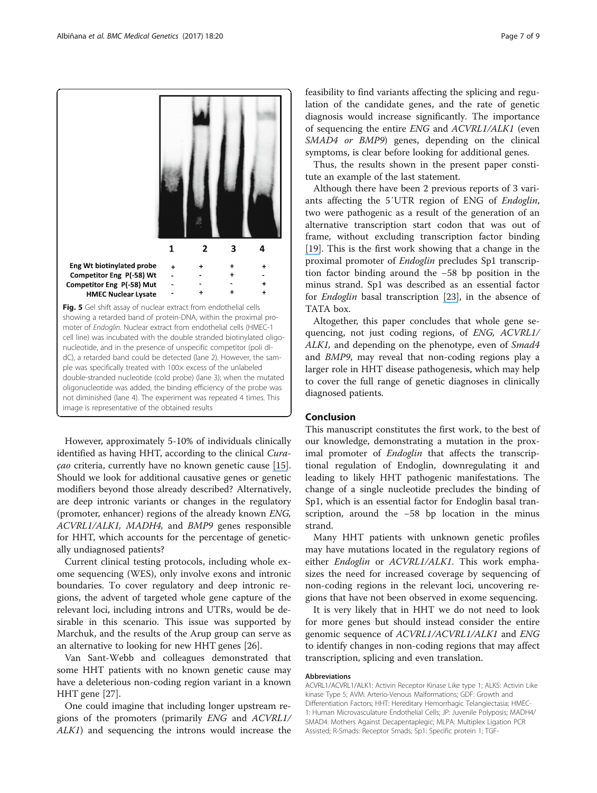<span id="page-7-0"></span>

ple was specifically treated with 100x excess of the unlabeled double-stranded nucleotide (cold probe) (lane 3); when the mutated oligonucleotide was added, the binding efficiency of the probe was not diminished (lane 4). The experiment was repeated 4 times. This image is representative of the obtained results

However, approximately 5-10% of individuals clinically identified as having HHT, according to the clinical Curaçao criteria, currently have no known genetic cause [\[](https://www.researchgate.net/publication/272188675_Hereditary_hemorrhagic_telangiectasia_Genetics_and_molecular_diagnostics_in_a_new_era?el=1_x_8&enrichId=rgreq-4e5b9f2100fc1713a6c1d4c8c42eb1dc-XXX&enrichSource=Y292ZXJQYWdlOzMxMzk0Nzc3NTtBUzo0NjcwOTQwODYxMzE3MTlAMTQ4ODM3NTMxNjk0NA==)[1](#page-8-0)[5\]](https://www.researchgate.net/publication/272188675_Hereditary_hemorrhagic_telangiectasia_Genetics_and_molecular_diagnostics_in_a_new_era?el=1_x_8&enrichId=rgreq-4e5b9f2100fc1713a6c1d4c8c42eb1dc-XXX&enrichSource=Y292ZXJQYWdlOzMxMzk0Nzc3NTtBUzo0NjcwOTQwODYxMzE3MTlAMTQ4ODM3NTMxNjk0NA==). Should we look for additional causative genes or genetic modifiers beyond those already described? Alternatively, are deep intronic variants or changes in the regulatory (promoter, enhancer) regions of the already known ENG, ACVRL1/ALK1, MADH4, and BMP9 genes responsible for HHT, which accounts for the percentage of genetically undiagnosed patients?

Current clinical testing protocols, including whole exome sequencing (WES), only involve exons and intronic boundaries. To cover regulatory and deep intronic regions, the advent of targeted whole gene capture of the relevant loci, including introns and UTRs, would be desirable in this scenario. This issue was supported by Marchuk, and the results of the Arup group can serve as an alternative to looking for new HHT genes [[26](#page-9-0)].

Van Sant-Webb and colleagues demonstrated that some HHT patients with no known genetic cause may have a deleterious non-coding region variant in a known HHT gene [[27](#page-9-0)].

One could imagine that including longer upstream regions of the promoters (primarily ENG and ACVRL1/ ALK1) and sequencing the introns would increase the

feasibility to find variants affecting the splicing and regulation of the candidate genes, and the rate of genetic diagnosis would increase significantly. The importance of sequencing the entire ENG and ACVRL1/ALK1 (even SMAD4 or BMP9) genes, depending on the clinical symptoms, is clear before looking for additional genes.

Thus, the results shown in the present paper constitute an example of the last statement.

Although there have been 2 previous reports of 3 variants affecting the 5′UTR region of ENG of Endoglin, two were pathogenic as a result of the generation of an alternative transcription start codon that was out of frame, without excluding transcription factor binding [\[1](https://www.researchgate.net/publication/51918962_5)[9](#page-8-0)[\]](https://www.researchgate.net/publication/51918962_5). This is the first work showing that a change in the proximal promoter of Endoglin precludes Sp1 transcription factor binding around the −58 bp position in the minus strand. Sp1 was described as an essential factor for Endoglin basal transcription [\[](https://www.researchgate.net/publication/11907785_Identification_of_a_Critical_Sp1_Site_within_the_Endoglin_Promoter_and_Its_Involvement_in_the_Transforming_Growth_Factor-_Stimulation?el=1_x_8&enrichId=rgreq-4e5b9f2100fc1713a6c1d4c8c42eb1dc-XXX&enrichSource=Y292ZXJQYWdlOzMxMzk0Nzc3NTtBUzo0NjcwOTQwODYxMzE3MTlAMTQ4ODM3NTMxNjk0NA==)[23](#page-9-0)[\]](https://www.researchgate.net/publication/11907785_Identification_of_a_Critical_Sp1_Site_within_the_Endoglin_Promoter_and_Its_Involvement_in_the_Transforming_Growth_Factor-_Stimulation?el=1_x_8&enrichId=rgreq-4e5b9f2100fc1713a6c1d4c8c42eb1dc-XXX&enrichSource=Y292ZXJQYWdlOzMxMzk0Nzc3NTtBUzo0NjcwOTQwODYxMzE3MTlAMTQ4ODM3NTMxNjk0NA==), in the absence of TATA box.

Altogether, this paper concludes that whole gene sequencing, not just coding regions, of ENG, ACVRL1/ ALK1, and depending on the phenotype, even of Smad4 and BMP9, may reveal that non-coding regions play a larger role in HHT disease pathogenesis, which may help to cover the full range of genetic diagnoses in clinically diagnosed patients.

# Conclusion

This manuscript constitutes the first work, to the best of our knowledge, demonstrating a mutation in the proximal promoter of *Endoglin* that affects the transcriptional regulation of Endoglin, downregulating it and leading to likely HHT pathogenic manifestations. The change of a single nucleotide precludes the binding of Sp1, which is an essential factor for Endoglin basal transcription, around the −58 bp location in the minus strand.

Many HHT patients with unknown genetic profiles may have mutations located in the regulatory regions of either Endoglin or ACVRL1/ALK1. This work emphasizes the need for increased coverage by sequencing of non-coding regions in the relevant loci, uncovering regions that have not been observed in exome sequencing.

It is very likely that in HHT we do not need to look for more genes but should instead consider the entire genomic sequence of ACVRL1/ACVRL1/ALK1 and ENG to identify changes in non-coding regions that may affect transcription, splicing and even translation.

# Abbreviations

ACVRL1/ACVRL1/ALK1: Activin Receptor Kinase Like type 1; ALK5: Activin Like kinase Type 5; AVM: Arterio-Venous Malformations; GDF: Growth and Differentiation Factors; HHT: Hereditary Hemorrhagic Telangiectasia; HMEC-1: Human Microvasculature Endothelial Cells; JP: Juvenile Polyposis; MADH4/ SMAD4: Mothers Against Decapentaplegic; MLPA: Multiplex Ligation PCR Assisted; R-Smads: Receptor Smads; Sp1: Specific protein 1; TGF-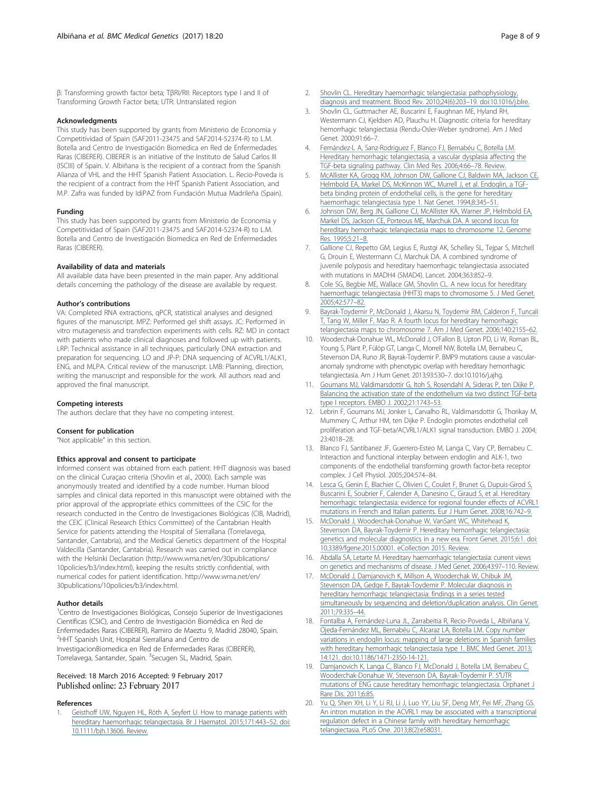<span id="page-8-0"></span>β: Transforming growth factor beta; TβRI/RII: Receptors type I and II of Transforming Growth Factor beta; UTR: Untranslated region

#### Acknowledgments

This study has been supported by grants from Ministerio de Economia y Competitividad of Spain (SAF2011-23475 and SAF2014-52374-R) to L.M. Botella and Centro de Investigación Biomedica en Red de Enfermedades Raras (CIBERER). CIBERER is an initiative of the Instituto de Salud Carlos III (ISCIII) of Spain. V. Albiñana is the recipient of a contract from the Spanish Alianza of VHL and the HHT Spanish Patient Association. L. Recio-Poveda is the recipient of a contract from the HHT Spanish Patient Association, and M.P. Zafra was funded by IdiPAZ from Fundación Mutua Madrileña (Spain).

#### Funding

This study has been supported by grants from Ministerio de Economia y Competitividad of Spain (SAF2011-23475 and SAF2014-52374-R) to L.M. Botella and Centro de Investigación Biomedica en Red de Enfermedades Raras (CIBERER).

## Availability of data and materials

All available data have been presented in the main paper. Any additional details concerning the pathology of the disease are available by request.

#### Author's contributions

VA: Completed RNA extractions, qPCR, statistical analyses and designed figures of the manuscript. MPZ: Performed gel shift assays. JC: Performed in vitro mutagenesis and transfection experiments with cells. RZ: MD in contact with patients who made clinical diagnoses and followed up with patients. LRP: Technical assistance in all techniques, particularly DNA extraction and preparation for sequencing. LO and JP-P: DNA sequencing of ACVRL1/ALK1, ENG, and MLPA. Critical review of the manuscript. LMB: Planning, direction, writing the manuscript and responsible for the work. All authors read and approved the final manuscript.

#### Competing interests

The authors declare that they have no competing interest.

#### Consent for publication

"Not applicable" in this section.

#### Ethics approval and consent to participate

Informed consent was obtained from each patient. HHT diagnosis was based on the clinical Curaçao criteria (Shovlin et al., 2000). Each sample was anonymously treated and identified by a code number. Human blood samples and clinical data reported in this manuscript were obtained with the prior approval of the appropriate ethics committees of the CSIC for the research conducted in the Centro de Investigaciones Biológicas (CIB, Madrid), the CEIC (Clinical Research Ethics Committee) of the Cantabrian Health Service for patients attending the Hospital of Sierrallana (Torrelavega, Santander, Cantabria), and the Medical Genetics department of the Hospital Valdecilla (Santander, Cantabria). Research was carried out in compliance with the Helsinki Declaration ([http://www.wma.net/en/30publications/](http://www.wma.net/en/30publications/10policies/b3/index.html) [10policies/b3/index.html\)](http://www.wma.net/en/30publications/10policies/b3/index.html), keeping the results strictly confidential, with numerical codes for patient identification. [http://www.wma.net/en/](http://www.wma.net/en/30publications/10policies/b3/index.html) [30publications/10policies/b3/index.html.](http://www.wma.net/en/30publications/10policies/b3/index.html)

#### Author details

<sup>1</sup>Centro de Investigaciones Biológicas, Consejo Superior de Investigaciones Científicas (CSIC), and Centro de Investigación Biomédica en Red de Enfermedades Raras (CIBERER), Ramiro de Maeztu 9, Madrid 28040, Spain. <sup>2</sup>HHT Spanish Unit, Hospital Sierrallana and Centro de InvestigacionBiomedica en Red de Enfermedades Raras (CIBERER), Torrelavega, Santander, Spain. <sup>3</sup>Secugen SL, Madrid, Spain.

# Received: 18 March 2016 Accepted: 9 February 2017<br>Published online: 23 February 2017

#### References

Geisthoff UW, Nguyen HL, Röth A, Seyfert U. How to manage patients with [hereditary haemorrhagic telangiectasia. Br J Haematol. 2015;171:443](https://www.researchgate.net/publication/280389800_How_to_manage_patients_with_hereditary_haemorrhagic_telangiectasia?el=1_x_8&enrichId=rgreq-4e5b9f2100fc1713a6c1d4c8c42eb1dc-XXX&enrichSource=Y292ZXJQYWdlOzMxMzk0Nzc3NTtBUzo0NjcwOTQwODYxMzE3MTlAMTQ4ODM3NTMxNjk0NA==)–52. doi: [10.1111/bjh.1360](http://dx.doi.org/10.1111/bjh.13606)[6. Review.](https://www.researchgate.net/publication/280389800_How_to_manage_patients_with_hereditary_haemorrhagic_telangiectasia?el=1_x_8&enrichId=rgreq-4e5b9f2100fc1713a6c1d4c8c42eb1dc-XXX&enrichSource=Y292ZXJQYWdlOzMxMzk0Nzc3NTtBUzo0NjcwOTQwODYxMzE3MTlAMTQ4ODM3NTMxNjk0NA==)

- 2. [Shovlin CL. Hereditary haemorrhagic telangiectasia: pathophysiology,](https://www.researchgate.net/publication/46426834_Hereditary_haemorrhagic_telangiectasia_Pathophysiology_diagnosis_and_treatment?el=1_x_8&enrichId=rgreq-4e5b9f2100fc1713a6c1d4c8c42eb1dc-XXX&enrichSource=Y292ZXJQYWdlOzMxMzk0Nzc3NTtBUzo0NjcwOTQwODYxMzE3MTlAMTQ4ODM3NTMxNjk0NA==) [diagnosis and treatment. Blood Rev. 2010;24\(6\):203](https://www.researchgate.net/publication/46426834_Hereditary_haemorrhagic_telangiectasia_Pathophysiology_diagnosis_and_treatment?el=1_x_8&enrichId=rgreq-4e5b9f2100fc1713a6c1d4c8c42eb1dc-XXX&enrichSource=Y292ZXJQYWdlOzMxMzk0Nzc3NTtBUzo0NjcwOTQwODYxMzE3MTlAMTQ4ODM3NTMxNjk0NA==)–19. doi[:10.1016/j.blre.](http://dx.doi.org/10.1016/j.blre)
- 3. Shovlin CL, Guttmacher AE, Buscarini E, Faughnan ME, Hyland RH, Westermann CJ, Kjeldsen AD, Plauchu H. Diagnostic criteria for hereditary hemorrhagic telangiectasia (Rendu-Osler-Weber syndrome). Am J Med Genet. 2000;91:66–7.
- 4. [Fernández-L A, Sanz-Rodriguez F, Blanco FJ, Bernabéu C, Botella LM.](https://www.researchgate.net/publication/7183665_Hereditary_Hemorrhagic_Telangiectasia_a_Vascular_Dysplasia_Affecting_the_TGF-_Signaling_Pathway?el=1_x_8&enrichId=rgreq-4e5b9f2100fc1713a6c1d4c8c42eb1dc-XXX&enrichSource=Y292ZXJQYWdlOzMxMzk0Nzc3NTtBUzo0NjcwOTQwODYxMzE3MTlAMTQ4ODM3NTMxNjk0NA==) [Hereditary hemorrhagic telangiectasia, a vascular dysplasia affecting the](https://www.researchgate.net/publication/7183665_Hereditary_Hemorrhagic_Telangiectasia_a_Vascular_Dysplasia_Affecting_the_TGF-_Signaling_Pathway?el=1_x_8&enrichId=rgreq-4e5b9f2100fc1713a6c1d4c8c42eb1dc-XXX&enrichSource=Y292ZXJQYWdlOzMxMzk0Nzc3NTtBUzo0NjcwOTQwODYxMzE3MTlAMTQ4ODM3NTMxNjk0NA==) [TGF-beta signaling pathway. Clin Med Res. 2006;4:66](https://www.researchgate.net/publication/7183665_Hereditary_Hemorrhagic_Telangiectasia_a_Vascular_Dysplasia_Affecting_the_TGF-_Signaling_Pathway?el=1_x_8&enrichId=rgreq-4e5b9f2100fc1713a6c1d4c8c42eb1dc-XXX&enrichSource=Y292ZXJQYWdlOzMxMzk0Nzc3NTtBUzo0NjcwOTQwODYxMzE3MTlAMTQ4ODM3NTMxNjk0NA==)–78. Review.
- 5. [McAllister KA, Grogg KM, Johnson DW, Gallione CJ, Baldwin MA, Jackson CE,](https://www.researchgate.net/publication/260198915_Endoglin_a_TGF-b_binding_protein_of_endothelial_cells_is_the_gene_for_hereditary_haemorrhagic_telangiectasia_type_1?el=1_x_8&enrichId=rgreq-4e5b9f2100fc1713a6c1d4c8c42eb1dc-XXX&enrichSource=Y292ZXJQYWdlOzMxMzk0Nzc3NTtBUzo0NjcwOTQwODYxMzE3MTlAMTQ4ODM3NTMxNjk0NA==) [Helmbold EA, Markel DS, McKinnon WC, Murrell J, et al. Endoglin, a TGF](https://www.researchgate.net/publication/260198915_Endoglin_a_TGF-b_binding_protein_of_endothelial_cells_is_the_gene_for_hereditary_haemorrhagic_telangiectasia_type_1?el=1_x_8&enrichId=rgreq-4e5b9f2100fc1713a6c1d4c8c42eb1dc-XXX&enrichSource=Y292ZXJQYWdlOzMxMzk0Nzc3NTtBUzo0NjcwOTQwODYxMzE3MTlAMTQ4ODM3NTMxNjk0NA==)[beta binding protein of endothelial cells, is the gene for hereditary](https://www.researchgate.net/publication/260198915_Endoglin_a_TGF-b_binding_protein_of_endothelial_cells_is_the_gene_for_hereditary_haemorrhagic_telangiectasia_type_1?el=1_x_8&enrichId=rgreq-4e5b9f2100fc1713a6c1d4c8c42eb1dc-XXX&enrichSource=Y292ZXJQYWdlOzMxMzk0Nzc3NTtBUzo0NjcwOTQwODYxMzE3MTlAMTQ4ODM3NTMxNjk0NA==) [haemorrhagic telangiectasia type 1. Nat Genet. 1994;8:345](https://www.researchgate.net/publication/260198915_Endoglin_a_TGF-b_binding_protein_of_endothelial_cells_is_the_gene_for_hereditary_haemorrhagic_telangiectasia_type_1?el=1_x_8&enrichId=rgreq-4e5b9f2100fc1713a6c1d4c8c42eb1dc-XXX&enrichSource=Y292ZXJQYWdlOzMxMzk0Nzc3NTtBUzo0NjcwOTQwODYxMzE3MTlAMTQ4ODM3NTMxNjk0NA==)–51.
- 6. [Johnson DW, Berg JN, Gallione CJ, McAllister KA, Warner JP, Helmbold EA,](https://www.researchgate.net/publication/14485458_A_second_locus_for_hereditary_hemorrhagic_telangiectasia_maps_to_chromosome_12?el=1_x_8&enrichId=rgreq-4e5b9f2100fc1713a6c1d4c8c42eb1dc-XXX&enrichSource=Y292ZXJQYWdlOzMxMzk0Nzc3NTtBUzo0NjcwOTQwODYxMzE3MTlAMTQ4ODM3NTMxNjk0NA==) [Markel DS, Jackson CE, Porteous ME, Marchuk DA. A second locus for](https://www.researchgate.net/publication/14485458_A_second_locus_for_hereditary_hemorrhagic_telangiectasia_maps_to_chromosome_12?el=1_x_8&enrichId=rgreq-4e5b9f2100fc1713a6c1d4c8c42eb1dc-XXX&enrichSource=Y292ZXJQYWdlOzMxMzk0Nzc3NTtBUzo0NjcwOTQwODYxMzE3MTlAMTQ4ODM3NTMxNjk0NA==) [hereditary hemorrhagic telangiectasia maps to chromosome 12. Genome](https://www.researchgate.net/publication/14485458_A_second_locus_for_hereditary_hemorrhagic_telangiectasia_maps_to_chromosome_12?el=1_x_8&enrichId=rgreq-4e5b9f2100fc1713a6c1d4c8c42eb1dc-XXX&enrichSource=Y292ZXJQYWdlOzMxMzk0Nzc3NTtBUzo0NjcwOTQwODYxMzE3MTlAMTQ4ODM3NTMxNjk0NA==) [Res. 1995;5:21](https://www.researchgate.net/publication/14485458_A_second_locus_for_hereditary_hemorrhagic_telangiectasia_maps_to_chromosome_12?el=1_x_8&enrichId=rgreq-4e5b9f2100fc1713a6c1d4c8c42eb1dc-XXX&enrichSource=Y292ZXJQYWdlOzMxMzk0Nzc3NTtBUzo0NjcwOTQwODYxMzE3MTlAMTQ4ODM3NTMxNjk0NA==)–8.
- 7. Gallione CJ, Repetto GM, Legius E, Rustgi AK, Schelley SL, Tejpar S, Mitchell G, Drouin E, Westermann CJ, Marchuk DA. A combined syndrome of juvenile polyposis and hereditary haemorrhagic telangiectasia associated with mutations in MADH4 (SMAD4). Lancet. 2004;363:852–9.
- 8. [Cole SG, Begbie ME, Wallace GM, Shovlin CL. A new locus for hereditary](https://www.researchgate.net/publication/7749095_A_new_locus_for_hereditary_haemorrhagic_telangiectasia_HHT3_maps_to_chromosome_5?el=1_x_8&enrichId=rgreq-4e5b9f2100fc1713a6c1d4c8c42eb1dc-XXX&enrichSource=Y292ZXJQYWdlOzMxMzk0Nzc3NTtBUzo0NjcwOTQwODYxMzE3MTlAMTQ4ODM3NTMxNjk0NA==) [haemorrhagic telangiectasia \(HHT3\) maps to chromosome 5. J Med Genet.](https://www.researchgate.net/publication/7749095_A_new_locus_for_hereditary_haemorrhagic_telangiectasia_HHT3_maps_to_chromosome_5?el=1_x_8&enrichId=rgreq-4e5b9f2100fc1713a6c1d4c8c42eb1dc-XXX&enrichSource=Y292ZXJQYWdlOzMxMzk0Nzc3NTtBUzo0NjcwOTQwODYxMzE3MTlAMTQ4ODM3NTMxNjk0NA==) [2005;42:577](https://www.researchgate.net/publication/7749095_A_new_locus_for_hereditary_haemorrhagic_telangiectasia_HHT3_maps_to_chromosome_5?el=1_x_8&enrichId=rgreq-4e5b9f2100fc1713a6c1d4c8c42eb1dc-XXX&enrichSource=Y292ZXJQYWdlOzMxMzk0Nzc3NTtBUzo0NjcwOTQwODYxMzE3MTlAMTQ4ODM3NTMxNjk0NA==)–82.
- Bayrak-Toydemir P, McDonald J, Akarsu N, Toydemir RM, Calderon F, Tuncali [T, Tang W, Miller F, Mao R. A fourth locus for hereditary hemorrhagic](https://www.researchgate.net/publication/6820861_Rapid_publication_A_fourth_locus_for_hereditary_hemorrhagic_telangiectasia_maps_to_chromosome_7?el=1_x_8&enrichId=rgreq-4e5b9f2100fc1713a6c1d4c8c42eb1dc-XXX&enrichSource=Y292ZXJQYWdlOzMxMzk0Nzc3NTtBUzo0NjcwOTQwODYxMzE3MTlAMTQ4ODM3NTMxNjk0NA==) [telangiectasia maps to chromosome 7. Am J Med Genet. 2006;140:2155](https://www.researchgate.net/publication/6820861_Rapid_publication_A_fourth_locus_for_hereditary_hemorrhagic_telangiectasia_maps_to_chromosome_7?el=1_x_8&enrichId=rgreq-4e5b9f2100fc1713a6c1d4c8c42eb1dc-XXX&enrichSource=Y292ZXJQYWdlOzMxMzk0Nzc3NTtBUzo0NjcwOTQwODYxMzE3MTlAMTQ4ODM3NTMxNjk0NA==)–62.
- 10. Wooderchak-Donahue WL, McDonald J, O'Fallon B, Upton PD, Li W, Roman BL, Young S, Plant P, Fülöp GT, Langa C, Morrell NW, Botella LM, Bernabeu C, Stevenson DA, Runo JR, Bayrak-Toydemir P. BMP9 mutations cause a vascularanomaly syndrome with phenotypic overlap with hereditary hemorrhagic telangiectasia. Am J Hum Genet. 2013;93:530–7. doi[:10.1016/j.ajhg.](http://dx.doi.org/10.1016/j.ajhg)
- 11. [Goumans MJ, Valdimarsdottir G, Itoh S, Rosendahl A, Sideras P, ten Dijke P.](https://www.researchgate.net/publication/11437018_Balancing_the_activation_state_of_the_endothelium_via_two_distinct_TGF-b_type_I_receptors?el=1_x_8&enrichId=rgreq-4e5b9f2100fc1713a6c1d4c8c42eb1dc-XXX&enrichSource=Y292ZXJQYWdlOzMxMzk0Nzc3NTtBUzo0NjcwOTQwODYxMzE3MTlAMTQ4ODM3NTMxNjk0NA==) [Balancing the activation state of the endothelium via two distinct TGF-beta](https://www.researchgate.net/publication/11437018_Balancing_the_activation_state_of_the_endothelium_via_two_distinct_TGF-b_type_I_receptors?el=1_x_8&enrichId=rgreq-4e5b9f2100fc1713a6c1d4c8c42eb1dc-XXX&enrichSource=Y292ZXJQYWdlOzMxMzk0Nzc3NTtBUzo0NjcwOTQwODYxMzE3MTlAMTQ4ODM3NTMxNjk0NA==) [type I receptors. EMBO J. 2002;21:1743](https://www.researchgate.net/publication/11437018_Balancing_the_activation_state_of_the_endothelium_via_two_distinct_TGF-b_type_I_receptors?el=1_x_8&enrichId=rgreq-4e5b9f2100fc1713a6c1d4c8c42eb1dc-XXX&enrichSource=Y292ZXJQYWdlOzMxMzk0Nzc3NTtBUzo0NjcwOTQwODYxMzE3MTlAMTQ4ODM3NTMxNjk0NA==)–53.
- 12. Lebrin F, Goumans MJ, Jonker L, Carvalho RL, Valdimarsdottir G, Thorikay M, Mummery C, Arthur HM, ten Dijke P. Endoglin promotes endothelial cell proliferation and TGF-beta/ACVRL1/ALK1 signal transduction. EMBO J. 2004; 23:4018–28.
- 13. Blanco FJ, Santibanez JF, Guerrero-Esteo M, Langa C, Vary CP, Bernabeu C. Interaction and functional interplay between endoglin and ALK-1, two components of the endothelial transforming growth factor-beta receptor complex. J Cell Physiol. 2005;204:574–84.
- 14. [Lesca G, Genin E, Blachier C, Olivieri C, Coulet F, Brunet G, Dupuis-Girod S,](https://www.researchgate.net/publication/5565869_Hereditary_hemorrhagic_telangiectasia_Evidence_for_regional_founder_effects_of_ACVRL1_mutations_in_French_and_Italian_patients?el=1_x_8&enrichId=rgreq-4e5b9f2100fc1713a6c1d4c8c42eb1dc-XXX&enrichSource=Y292ZXJQYWdlOzMxMzk0Nzc3NTtBUzo0NjcwOTQwODYxMzE3MTlAMTQ4ODM3NTMxNjk0NA==) [Buscarini E, Soubrier F, Calender A, Danesino C, Giraud S, et al. Hereditary](https://www.researchgate.net/publication/5565869_Hereditary_hemorrhagic_telangiectasia_Evidence_for_regional_founder_effects_of_ACVRL1_mutations_in_French_and_Italian_patients?el=1_x_8&enrichId=rgreq-4e5b9f2100fc1713a6c1d4c8c42eb1dc-XXX&enrichSource=Y292ZXJQYWdlOzMxMzk0Nzc3NTtBUzo0NjcwOTQwODYxMzE3MTlAMTQ4ODM3NTMxNjk0NA==) [hemorrhagic telangiectasia: evidence for regional founder effects of ACVRL1](https://www.researchgate.net/publication/5565869_Hereditary_hemorrhagic_telangiectasia_Evidence_for_regional_founder_effects_of_ACVRL1_mutations_in_French_and_Italian_patients?el=1_x_8&enrichId=rgreq-4e5b9f2100fc1713a6c1d4c8c42eb1dc-XXX&enrichSource=Y292ZXJQYWdlOzMxMzk0Nzc3NTtBUzo0NjcwOTQwODYxMzE3MTlAMTQ4ODM3NTMxNjk0NA==) [mutations in French and Italian patients. Eur J Hum Genet. 2008;16:742](https://www.researchgate.net/publication/5565869_Hereditary_hemorrhagic_telangiectasia_Evidence_for_regional_founder_effects_of_ACVRL1_mutations_in_French_and_Italian_patients?el=1_x_8&enrichId=rgreq-4e5b9f2100fc1713a6c1d4c8c42eb1dc-XXX&enrichSource=Y292ZXJQYWdlOzMxMzk0Nzc3NTtBUzo0NjcwOTQwODYxMzE3MTlAMTQ4ODM3NTMxNjk0NA==)–9.
- 15. [McDonald J, Wooderchak-Donahue W, VanSant WC, Whitehead K,](https://www.researchgate.net/publication/272188675_Hereditary_hemorrhagic_telangiectasia_Genetics_and_molecular_diagnostics_in_a_new_era?el=1_x_8&enrichId=rgreq-4e5b9f2100fc1713a6c1d4c8c42eb1dc-XXX&enrichSource=Y292ZXJQYWdlOzMxMzk0Nzc3NTtBUzo0NjcwOTQwODYxMzE3MTlAMTQ4ODM3NTMxNjk0NA==) [Stevenson DA, Bayrak-Toydemir P. Hereditary hemorrhagic telangiectasia:](https://www.researchgate.net/publication/272188675_Hereditary_hemorrhagic_telangiectasia_Genetics_and_molecular_diagnostics_in_a_new_era?el=1_x_8&enrichId=rgreq-4e5b9f2100fc1713a6c1d4c8c42eb1dc-XXX&enrichSource=Y292ZXJQYWdlOzMxMzk0Nzc3NTtBUzo0NjcwOTQwODYxMzE3MTlAMTQ4ODM3NTMxNjk0NA==) [genetics and molecular diagnostics in a new era. Front Genet. 2015;6:1. doi:](https://www.researchgate.net/publication/272188675_Hereditary_hemorrhagic_telangiectasia_Genetics_and_molecular_diagnostics_in_a_new_era?el=1_x_8&enrichId=rgreq-4e5b9f2100fc1713a6c1d4c8c42eb1dc-XXX&enrichSource=Y292ZXJQYWdlOzMxMzk0Nzc3NTtBUzo0NjcwOTQwODYxMzE3MTlAMTQ4ODM3NTMxNjk0NA==) [10.3389/fgene.2015.0000](http://dx.doi.org/10.3389/fgene.2015.00001)[1. eCollection 2015. Review.](https://www.researchgate.net/publication/272188675_Hereditary_hemorrhagic_telangiectasia_Genetics_and_molecular_diagnostics_in_a_new_era?el=1_x_8&enrichId=rgreq-4e5b9f2100fc1713a6c1d4c8c42eb1dc-XXX&enrichSource=Y292ZXJQYWdlOzMxMzk0Nzc3NTtBUzo0NjcwOTQwODYxMzE3MTlAMTQ4ODM3NTMxNjk0NA==)
- 16. [Abdalla SA, Letarte M. Hereditary haemorrhagic telangiectasia: current views](https://www.researchgate.net/publication/7860606_Hereditary_haemorrhagic_telangiectasia_Current_views_on_genetics_and_mechanisms_of_disease?el=1_x_8&enrichId=rgreq-4e5b9f2100fc1713a6c1d4c8c42eb1dc-XXX&enrichSource=Y292ZXJQYWdlOzMxMzk0Nzc3NTtBUzo0NjcwOTQwODYxMzE3MTlAMTQ4ODM3NTMxNjk0NA==) [on genetics and mechanisms of disease. J Med Genet. 2006;43:97](https://www.researchgate.net/publication/7860606_Hereditary_haemorrhagic_telangiectasia_Current_views_on_genetics_and_mechanisms_of_disease?el=1_x_8&enrichId=rgreq-4e5b9f2100fc1713a6c1d4c8c42eb1dc-XXX&enrichSource=Y292ZXJQYWdlOzMxMzk0Nzc3NTtBUzo0NjcwOTQwODYxMzE3MTlAMTQ4ODM3NTMxNjk0NA==)–110. Review.
- 17. [McDonald J, Damjanovich K, Millson A, Wooderchak W, Chibuk JM,](https://www.researchgate.net/publication/49683964_Molecular_diagnosis_in_hereditary_hemorrhagic_telangiectasia_findings_in_a_series_tested_simultaneously_by_sequencing_and_deletionduplication_analysis?el=1_x_8&enrichId=rgreq-4e5b9f2100fc1713a6c1d4c8c42eb1dc-XXX&enrichSource=Y292ZXJQYWdlOzMxMzk0Nzc3NTtBUzo0NjcwOTQwODYxMzE3MTlAMTQ4ODM3NTMxNjk0NA==) [Stevenson DA, Gedge F, Bayrak-Toydemir P. Molecular diagnosis in](https://www.researchgate.net/publication/49683964_Molecular_diagnosis_in_hereditary_hemorrhagic_telangiectasia_findings_in_a_series_tested_simultaneously_by_sequencing_and_deletionduplication_analysis?el=1_x_8&enrichId=rgreq-4e5b9f2100fc1713a6c1d4c8c42eb1dc-XXX&enrichSource=Y292ZXJQYWdlOzMxMzk0Nzc3NTtBUzo0NjcwOTQwODYxMzE3MTlAMTQ4ODM3NTMxNjk0NA==) [hereditary hemorrhagic telangiectasia: findings in a series tested](https://www.researchgate.net/publication/49683964_Molecular_diagnosis_in_hereditary_hemorrhagic_telangiectasia_findings_in_a_series_tested_simultaneously_by_sequencing_and_deletionduplication_analysis?el=1_x_8&enrichId=rgreq-4e5b9f2100fc1713a6c1d4c8c42eb1dc-XXX&enrichSource=Y292ZXJQYWdlOzMxMzk0Nzc3NTtBUzo0NjcwOTQwODYxMzE3MTlAMTQ4ODM3NTMxNjk0NA==) [simultaneously by sequencing and deletion/duplication analysis. Clin Genet.](https://www.researchgate.net/publication/49683964_Molecular_diagnosis_in_hereditary_hemorrhagic_telangiectasia_findings_in_a_series_tested_simultaneously_by_sequencing_and_deletionduplication_analysis?el=1_x_8&enrichId=rgreq-4e5b9f2100fc1713a6c1d4c8c42eb1dc-XXX&enrichSource=Y292ZXJQYWdlOzMxMzk0Nzc3NTtBUzo0NjcwOTQwODYxMzE3MTlAMTQ4ODM3NTMxNjk0NA==) [2011;79:335](https://www.researchgate.net/publication/49683964_Molecular_diagnosis_in_hereditary_hemorrhagic_telangiectasia_findings_in_a_series_tested_simultaneously_by_sequencing_and_deletionduplication_analysis?el=1_x_8&enrichId=rgreq-4e5b9f2100fc1713a6c1d4c8c42eb1dc-XXX&enrichSource=Y292ZXJQYWdlOzMxMzk0Nzc3NTtBUzo0NjcwOTQwODYxMzE3MTlAMTQ4ODM3NTMxNjk0NA==)–44.
- 18. [Fontalba A, Fernández-Luna JL, Zarrabeitia R, Recio-Poveda L, Albiñana V,](https://www.researchgate.net/publication/258851914_Copy_number_variations_in_endoglin_locus_mapping_of_large_deletions_in_Spanish_families_with_hereditary_hemorrhagic_telangiectasia_type_1?el=1_x_8&enrichId=rgreq-4e5b9f2100fc1713a6c1d4c8c42eb1dc-XXX&enrichSource=Y292ZXJQYWdlOzMxMzk0Nzc3NTtBUzo0NjcwOTQwODYxMzE3MTlAMTQ4ODM3NTMxNjk0NA==) [Ojeda-Fernández ML, Bernabéu C, Alcaraz LA, Botella LM. Copy number](https://www.researchgate.net/publication/258851914_Copy_number_variations_in_endoglin_locus_mapping_of_large_deletions_in_Spanish_families_with_hereditary_hemorrhagic_telangiectasia_type_1?el=1_x_8&enrichId=rgreq-4e5b9f2100fc1713a6c1d4c8c42eb1dc-XXX&enrichSource=Y292ZXJQYWdlOzMxMzk0Nzc3NTtBUzo0NjcwOTQwODYxMzE3MTlAMTQ4ODM3NTMxNjk0NA==) [variations in endoglin locus: mapping of large deletions in Spanish families](https://www.researchgate.net/publication/258851914_Copy_number_variations_in_endoglin_locus_mapping_of_large_deletions_in_Spanish_families_with_hereditary_hemorrhagic_telangiectasia_type_1?el=1_x_8&enrichId=rgreq-4e5b9f2100fc1713a6c1d4c8c42eb1dc-XXX&enrichSource=Y292ZXJQYWdlOzMxMzk0Nzc3NTtBUzo0NjcwOTQwODYxMzE3MTlAMTQ4ODM3NTMxNjk0NA==) [with hereditary hemorrhagic telangiectasia type 1. BMC Med Genet. 2013;](https://www.researchgate.net/publication/258851914_Copy_number_variations_in_endoglin_locus_mapping_of_large_deletions_in_Spanish_families_with_hereditary_hemorrhagic_telangiectasia_type_1?el=1_x_8&enrichId=rgreq-4e5b9f2100fc1713a6c1d4c8c42eb1dc-XXX&enrichSource=Y292ZXJQYWdlOzMxMzk0Nzc3NTtBUzo0NjcwOTQwODYxMzE3MTlAMTQ4ODM3NTMxNjk0NA==) [14:121. doi:1](https://www.researchgate.net/publication/258851914_Copy_number_variations_in_endoglin_locus_mapping_of_large_deletions_in_Spanish_families_with_hereditary_hemorrhagic_telangiectasia_type_1?el=1_x_8&enrichId=rgreq-4e5b9f2100fc1713a6c1d4c8c42eb1dc-XXX&enrichSource=Y292ZXJQYWdlOzMxMzk0Nzc3NTtBUzo0NjcwOTQwODYxMzE3MTlAMTQ4ODM3NTMxNjk0NA==)[0.1186/1471-2350-14-12](http://dx.doi.org/10.1186/1471-2350-14-121)[1.](https://www.researchgate.net/publication/258851914_Copy_number_variations_in_endoglin_locus_mapping_of_large_deletions_in_Spanish_families_with_hereditary_hemorrhagic_telangiectasia_type_1?el=1_x_8&enrichId=rgreq-4e5b9f2100fc1713a6c1d4c8c42eb1dc-XXX&enrichSource=Y292ZXJQYWdlOzMxMzk0Nzc3NTtBUzo0NjcwOTQwODYxMzE3MTlAMTQ4ODM3NTMxNjk0NA==)
- 19. [Damjanovich K, Langa C, Blanco FJ, McDonald J, Botella LM, Bernabeu C,](https://www.researchgate.net/publication/51918962_5) [Wooderchak-Donahue W, Stevenson DA, Bayrak-Toydemir P. 5](https://www.researchgate.net/publication/51918962_5)′UTR [mutations of ENG cause hereditary hemorrhagic telangiectasia. Orphanet J](https://www.researchgate.net/publication/51918962_5) [Rare Dis. 2011;6:85.](https://www.researchgate.net/publication/51918962_5)
- 20. [Yu Q, Shen XH, Li Y, Li RJ, Li J, Luo YY, Liu SF, Deng MY, Pei MF, Zhang GS.](https://www.researchgate.net/publication/235788123_An_Intron_Mutation_in_the_ACVRL1_May_Be_Associated_with_a_Transcriptional_Regulation_Defect_in_a_Chinese_Family_with_Hereditary_Hemorrhagic_Telangiectasia?el=1_x_8&enrichId=rgreq-4e5b9f2100fc1713a6c1d4c8c42eb1dc-XXX&enrichSource=Y292ZXJQYWdlOzMxMzk0Nzc3NTtBUzo0NjcwOTQwODYxMzE3MTlAMTQ4ODM3NTMxNjk0NA==) [An intron mutation in the ACVRL1 may be associated with a transcriptional](https://www.researchgate.net/publication/235788123_An_Intron_Mutation_in_the_ACVRL1_May_Be_Associated_with_a_Transcriptional_Regulation_Defect_in_a_Chinese_Family_with_Hereditary_Hemorrhagic_Telangiectasia?el=1_x_8&enrichId=rgreq-4e5b9f2100fc1713a6c1d4c8c42eb1dc-XXX&enrichSource=Y292ZXJQYWdlOzMxMzk0Nzc3NTtBUzo0NjcwOTQwODYxMzE3MTlAMTQ4ODM3NTMxNjk0NA==) [regulation defect in a Chinese family with hereditary hemorrhagic](https://www.researchgate.net/publication/235788123_An_Intron_Mutation_in_the_ACVRL1_May_Be_Associated_with_a_Transcriptional_Regulation_Defect_in_a_Chinese_Family_with_Hereditary_Hemorrhagic_Telangiectasia?el=1_x_8&enrichId=rgreq-4e5b9f2100fc1713a6c1d4c8c42eb1dc-XXX&enrichSource=Y292ZXJQYWdlOzMxMzk0Nzc3NTtBUzo0NjcwOTQwODYxMzE3MTlAMTQ4ODM3NTMxNjk0NA==) [telangiectasia. PLoS One. 2013;8\(2\):e58031.](https://www.researchgate.net/publication/235788123_An_Intron_Mutation_in_the_ACVRL1_May_Be_Associated_with_a_Transcriptional_Regulation_Defect_in_a_Chinese_Family_with_Hereditary_Hemorrhagic_Telangiectasia?el=1_x_8&enrichId=rgreq-4e5b9f2100fc1713a6c1d4c8c42eb1dc-XXX&enrichSource=Y292ZXJQYWdlOzMxMzk0Nzc3NTtBUzo0NjcwOTQwODYxMzE3MTlAMTQ4ODM3NTMxNjk0NA==)